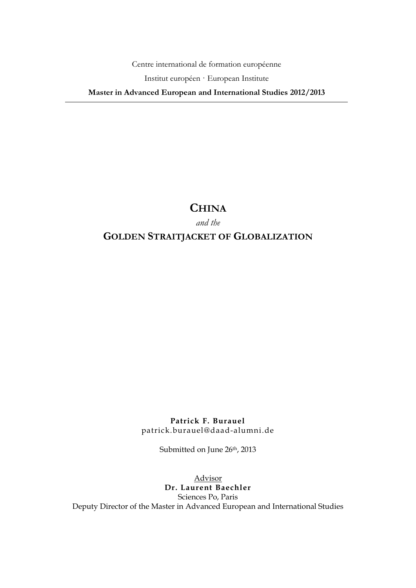Centre international de formation européenne

Institut européen · European Institute

**Master in Advanced European and International Studies 2012/2013**

# **CHINA**

*and the* 

# **GOLDEN STRAITJACKET OF GLOBALIZATION**

**Patrick F. Burauel** patrick.burauel@daad-alumni.de

Submitted on June 26th, 2013

Advisor **Dr. Laurent Baechler** Sciences Po, Paris Deputy Director of the Master in Advanced European and International Studies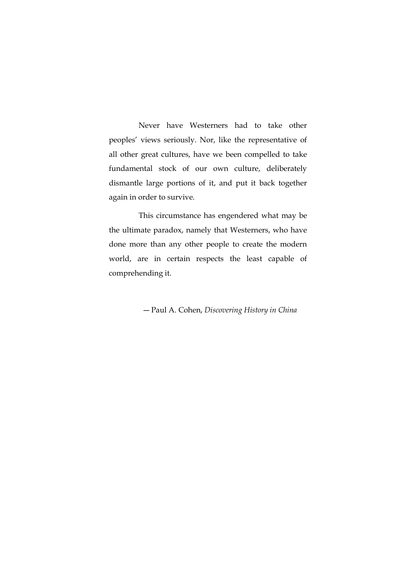Never have Westerners had to take other peoples' views seriously. Nor, like the representative of all other great cultures, have we been compelled to take fundamental stock of our own culture, deliberately dismantle large portions of it, and put it back together again in order to survive.

This circumstance has engendered what may be the ultimate paradox, namely that Westerners, who have done more than any other people to create the modern world, are in certain respects the least capable of comprehending it.

― Paul A. Cohen, *Discovering History in China*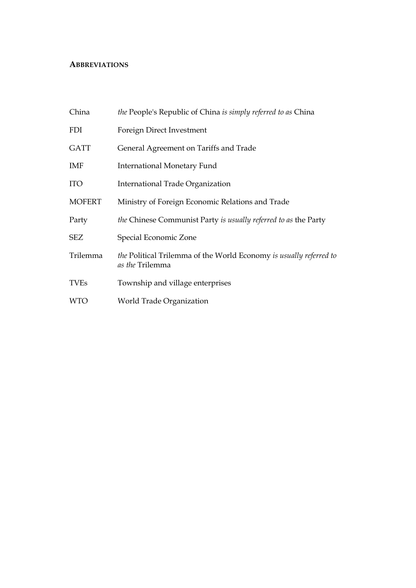# **ABBREVIATIONS**

| China         | <i>the</i> People's Republic of China is simply referred to as China                  |  |
|---------------|---------------------------------------------------------------------------------------|--|
| <b>FDI</b>    | Foreign Direct Investment                                                             |  |
| <b>GATT</b>   | General Agreement on Tariffs and Trade                                                |  |
| IMF           | <b>International Monetary Fund</b>                                                    |  |
| <b>ITO</b>    | International Trade Organization                                                      |  |
| <b>MOFERT</b> | Ministry of Foreign Economic Relations and Trade                                      |  |
| Party         | the Chinese Communist Party is usually referred to as the Party                       |  |
| SEZ           | Special Economic Zone                                                                 |  |
| Trilemma      | the Political Trilemma of the World Economy is usually referred to<br>as the Trilemma |  |
| <b>TVEs</b>   | Township and village enterprises                                                      |  |
| <b>WTO</b>    | World Trade Organization                                                              |  |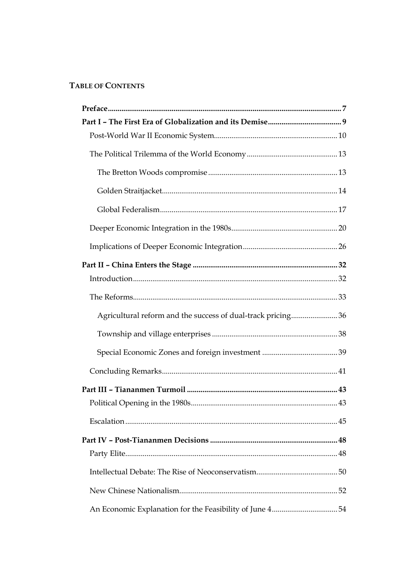# **TABLE OF CONTENTS**

| Agricultural reform and the success of dual-track pricing 36 |  |
|--------------------------------------------------------------|--|
|                                                              |  |
|                                                              |  |
|                                                              |  |
|                                                              |  |
|                                                              |  |
|                                                              |  |
|                                                              |  |
|                                                              |  |
|                                                              |  |
|                                                              |  |
| An Economic Explanation for the Feasibility of June 454      |  |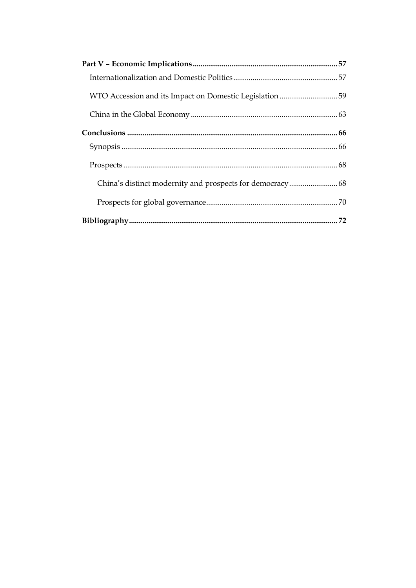| WTO Accession and its Impact on Domestic Legislation 59 |  |
|---------------------------------------------------------|--|
|                                                         |  |
|                                                         |  |
|                                                         |  |
|                                                         |  |
|                                                         |  |
|                                                         |  |
|                                                         |  |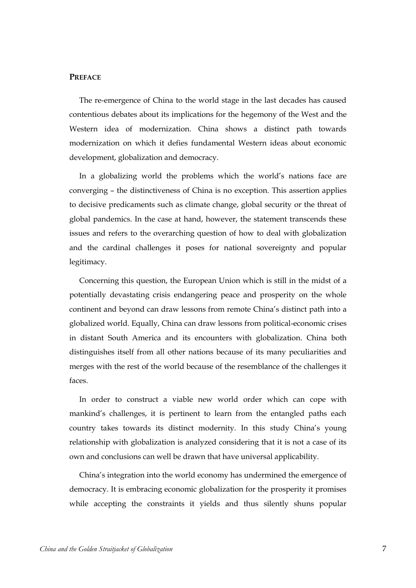#### <span id="page-6-0"></span>**PREFACE**

The re-emergence of China to the world stage in the last decades has caused contentious debates about its implications for the hegemony of the West and the Western idea of modernization. China shows a distinct path towards modernization on which it defies fundamental Western ideas about economic development, globalization and democracy.

In a globalizing world the problems which the world's nations face are converging – the distinctiveness of China is no exception. This assertion applies to decisive predicaments such as climate change, global security or the threat of global pandemics. In the case at hand, however, the statement transcends these issues and refers to the overarching question of how to deal with globalization and the cardinal challenges it poses for national sovereignty and popular legitimacy.

Concerning this question, the European Union which is still in the midst of a potentially devastating crisis endangering peace and prosperity on the whole continent and beyond can draw lessons from remote China's distinct path into a globalized world. Equally, China can draw lessons from political-economic crises in distant South America and its encounters with globalization. China both distinguishes itself from all other nations because of its many peculiarities and merges with the rest of the world because of the resemblance of the challenges it faces.

In order to construct a viable new world order which can cope with mankind's challenges, it is pertinent to learn from the entangled paths each country takes towards its distinct modernity. In this study China's young relationship with globalization is analyzed considering that it is not a case of its own and conclusions can well be drawn that have universal applicability.

China's integration into the world economy has undermined the emergence of democracy. It is embracing economic globalization for the prosperity it promises while accepting the constraints it yields and thus silently shuns popular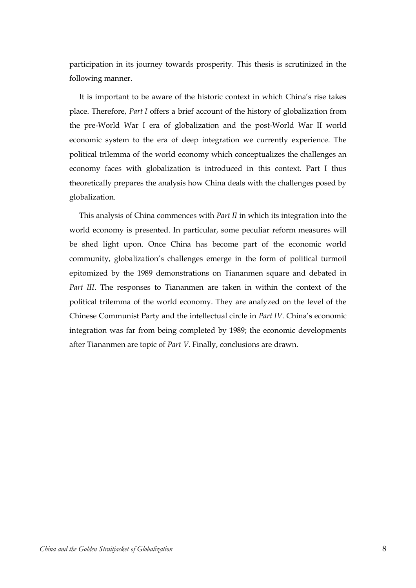participation in its journey towards prosperity. This thesis is scrutinized in the following manner.

It is important to be aware of the historic context in which China's rise takes place. Therefore, *Part I* offers a brief account of the history of globalization from the pre-World War I era of globalization and the post-World War II world economic system to the era of deep integration we currently experience. The political trilemma of the world economy which conceptualizes the challenges an economy faces with globalization is introduced in this context. Part I thus theoretically prepares the analysis how China deals with the challenges posed by globalization.

This analysis of China commences with *Part II* in which its integration into the world economy is presented. In particular, some peculiar reform measures will be shed light upon. Once China has become part of the economic world community, globalization's challenges emerge in the form of political turmoil epitomized by the 1989 demonstrations on Tiananmen square and debated in *Part III*. The responses to Tiananmen are taken in within the context of the political trilemma of the world economy. They are analyzed on the level of the Chinese Communist Party and the intellectual circle in *Part IV*. China's economic integration was far from being completed by 1989; the economic developments after Tiananmen are topic of *Part V*. Finally, conclusions are drawn.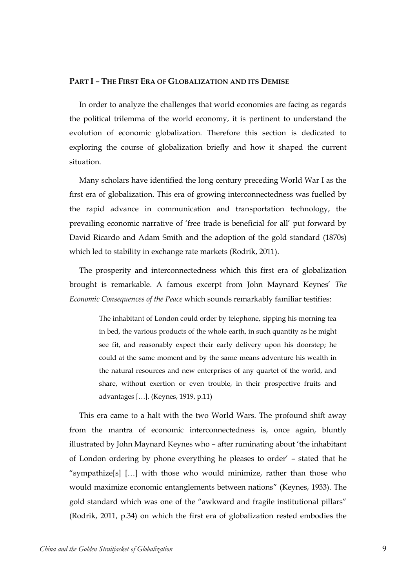#### <span id="page-8-0"></span>**PART I – THE FIRST ERA OF GLOBALIZATION AND ITS DEMISE**

In order to analyze the challenges that world economies are facing as regards the political trilemma of the world economy, it is pertinent to understand the evolution of economic globalization. Therefore this section is dedicated to exploring the course of globalization briefly and how it shaped the current situation.

Many scholars have identified the long century preceding World War I as the first era of globalization. This era of growing interconnectedness was fuelled by the rapid advance in communication and transportation technology, the prevailing economic narrative of 'free trade is beneficial for all' put forward by David Ricardo and Adam Smith and the adoption of the gold standard (1870s) which led to stability in exchange rate markets (Rodrik, 2011).

The prosperity and interconnectedness which this first era of globalization brought is remarkable. A famous excerpt from John Maynard Keynes' *The Economic Consequences of the Peace* which sounds remarkably familiar testifies:

> The inhabitant of London could order by telephone, sipping his morning tea in bed, the various products of the whole earth, in such quantity as he might see fit, and reasonably expect their early delivery upon his doorstep; he could at the same moment and by the same means adventure his wealth in the natural resources and new enterprises of any quartet of the world, and share, without exertion or even trouble, in their prospective fruits and advantages […]. (Keynes, 1919, p.11)

This era came to a halt with the two World Wars. The profound shift away from the mantra of economic interconnectedness is, once again, bluntly illustrated by John Maynard Keynes who – after ruminating about 'the inhabitant of London ordering by phone everything he pleases to order' – stated that he "sympathize[s] […] with those who would minimize, rather than those who would maximize economic entanglements between nations" (Keynes, 1933). The gold standard which was one of the "awkward and fragile institutional pillars" (Rodrik, 2011, p.34) on which the first era of globalization rested embodies the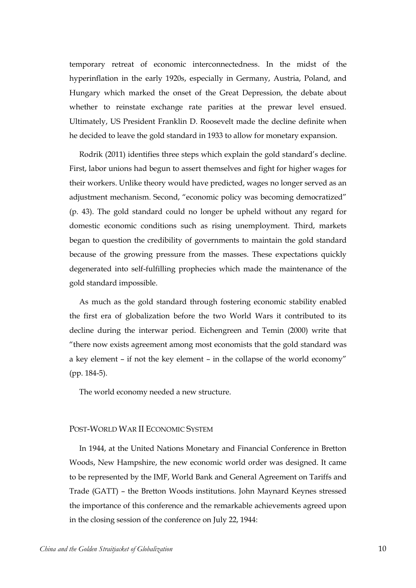temporary retreat of economic interconnectedness. In the midst of the hyperinflation in the early 1920s, especially in Germany, Austria, Poland, and Hungary which marked the onset of the Great Depression, the debate about whether to reinstate exchange rate parities at the prewar level ensued. Ultimately, US President Franklin D. Roosevelt made the decline definite when he decided to leave the gold standard in 1933 to allow for monetary expansion.

Rodrik (2011) identifies three steps which explain the gold standard's decline. First, labor unions had begun to assert themselves and fight for higher wages for their workers. Unlike theory would have predicted, wages no longer served as an adjustment mechanism. Second, "economic policy was becoming democratized" (p. 43). The gold standard could no longer be upheld without any regard for domestic economic conditions such as rising unemployment. Third, markets began to question the credibility of governments to maintain the gold standard because of the growing pressure from the masses. These expectations quickly degenerated into self-fulfilling prophecies which made the maintenance of the gold standard impossible.

As much as the gold standard through fostering economic stability enabled the first era of globalization before the two World Wars it contributed to its decline during the interwar period. Eichengreen and Temin (2000) write that "there now exists agreement among most economists that the gold standard was a key element – if not the key element – in the collapse of the world economy" (pp. 184-5).

<span id="page-9-0"></span>The world economy needed a new structure.

#### POST-WORLD WAR II ECONOMIC SYSTEM

In 1944, at the United Nations Monetary and Financial Conference in Bretton Woods, New Hampshire, the new economic world order was designed. It came to be represented by the IMF, World Bank and General Agreement on Tariffs and Trade (GATT) – the Bretton Woods institutions. John Maynard Keynes stressed the importance of this conference and the remarkable achievements agreed upon in the closing session of the conference on July 22, 1944: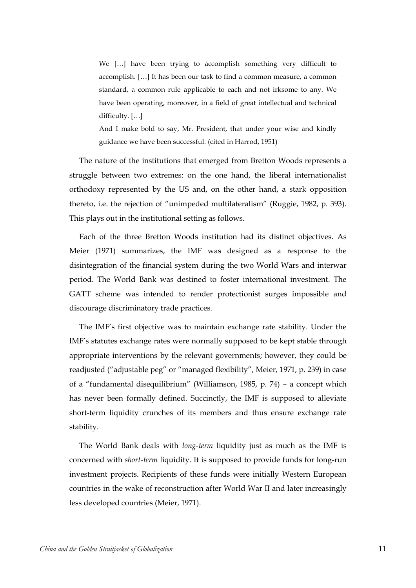We […] have been trying to accomplish something very difficult to accomplish. […] It has been our task to find a common measure, a common standard, a common rule applicable to each and not irksome to any. We have been operating, moreover, in a field of great intellectual and technical difficulty. […]

And I make bold to say, Mr. President, that under your wise and kindly guidance we have been successful. (cited in Harrod, 1951)

The nature of the institutions that emerged from Bretton Woods represents a struggle between two extremes: on the one hand, the liberal internationalist orthodoxy represented by the US and, on the other hand, a stark opposition thereto, i.e. the rejection of "unimpeded multilateralism" (Ruggie, 1982, p. 393). This plays out in the institutional setting as follows.

Each of the three Bretton Woods institution had its distinct objectives. As Meier (1971) summarizes, the IMF was designed as a response to the disintegration of the financial system during the two World Wars and interwar period. The World Bank was destined to foster international investment. The GATT scheme was intended to render protectionist surges impossible and discourage discriminatory trade practices.

The IMF's first objective was to maintain exchange rate stability. Under the IMF's statutes exchange rates were normally supposed to be kept stable through appropriate interventions by the relevant governments; however, they could be readjusted ("adjustable peg" or "managed flexibility", Meier, 1971, p. 239) in case of a "fundamental disequilibrium" (Williamson, 1985, p. 74) – a concept which has never been formally defined. Succinctly, the IMF is supposed to alleviate short-term liquidity crunches of its members and thus ensure exchange rate stability.

The World Bank deals with *long-term* liquidity just as much as the IMF is concerned with *short-term* liquidity. It is supposed to provide funds for long-run investment projects. Recipients of these funds were initially Western European countries in the wake of reconstruction after World War II and later increasingly less developed countries (Meier, 1971).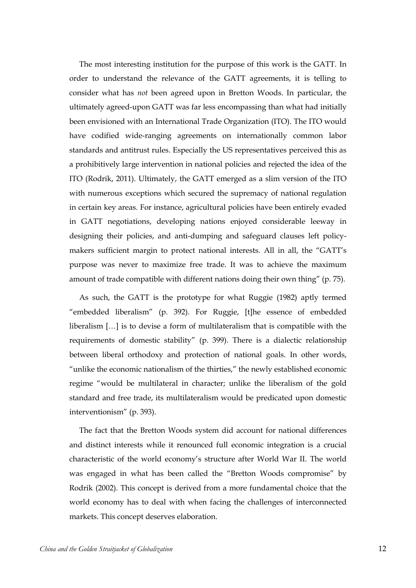The most interesting institution for the purpose of this work is the GATT. In order to understand the relevance of the GATT agreements, it is telling to consider what has *not* been agreed upon in Bretton Woods. In particular, the ultimately agreed-upon GATT was far less encompassing than what had initially been envisioned with an International Trade Organization (ITO). The ITO would have codified wide-ranging agreements on internationally common labor standards and antitrust rules. Especially the US representatives perceived this as a prohibitively large intervention in national policies and rejected the idea of the ITO (Rodrik, 2011). Ultimately, the GATT emerged as a slim version of the ITO with numerous exceptions which secured the supremacy of national regulation in certain key areas. For instance, agricultural policies have been entirely evaded in GATT negotiations, developing nations enjoyed considerable leeway in designing their policies, and anti-dumping and safeguard clauses left policymakers sufficient margin to protect national interests. All in all, the "GATT's purpose was never to maximize free trade. It was to achieve the maximum amount of trade compatible with different nations doing their own thing" (p. 75).

As such, the GATT is the prototype for what Ruggie (1982) aptly termed "embedded liberalism" (p. 392). For Ruggie, [t]he essence of embedded liberalism […] is to devise a form of multilateralism that is compatible with the requirements of domestic stability" (p. 399). There is a dialectic relationship between liberal orthodoxy and protection of national goals. In other words, "unlike the economic nationalism of the thirties," the newly established economic regime "would be multilateral in character; unlike the liberalism of the gold standard and free trade, its multilateralism would be predicated upon domestic interventionism" (p. 393).

The fact that the Bretton Woods system did account for national differences and distinct interests while it renounced full economic integration is a crucial characteristic of the world economy's structure after World War II. The world was engaged in what has been called the "Bretton Woods compromise" by Rodrik (2002). This concept is derived from a more fundamental choice that the world economy has to deal with when facing the challenges of interconnected markets. This concept deserves elaboration.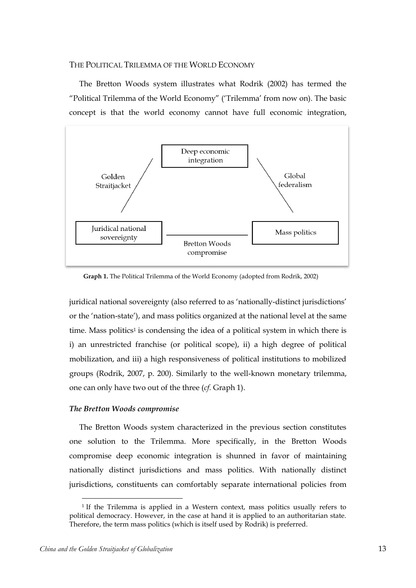#### <span id="page-12-0"></span>THE POLITICAL TRILEMMA OF THE WORLD ECONOMY

The Bretton Woods system illustrates what Rodrik (2002) has termed the "Political Trilemma of the World Economy" ('Trilemma' from now on). The basic concept is that the world economy cannot have full economic integration,



**Graph 1.** The Political Trilemma of the World Economy (adopted from Rodrik, 2002)

juridical national sovereignty (also referred to as 'nationally-distinct jurisdictions' or the 'nation-state'), and mass politics organized at the national level at the same time. Mass politics<sup>1</sup> is condensing the idea of a political system in which there is i) an unrestricted franchise (or political scope), ii) a high degree of political mobilization, and iii) a high responsiveness of political institutions to mobilized groups (Rodrik, 2007, p. 200). Similarly to the well-known monetary trilemma, one can only have two out of the three (*cf.* Graph 1).

#### <span id="page-12-1"></span>*The Bretton Woods compromise*

The Bretton Woods system characterized in the previous section constitutes one solution to the Trilemma. More specifically, in the Bretton Woods compromise deep economic integration is shunned in favor of maintaining nationally distinct jurisdictions and mass politics. With nationally distinct jurisdictions, constituents can comfortably separate international policies from

 $\overline{a}$ 

<sup>1</sup> If the Trilemma is applied in a Western context, mass politics usually refers to political democracy. However, in the case at hand it is applied to an authoritarian state. Therefore, the term mass politics (which is itself used by Rodrik) is preferred.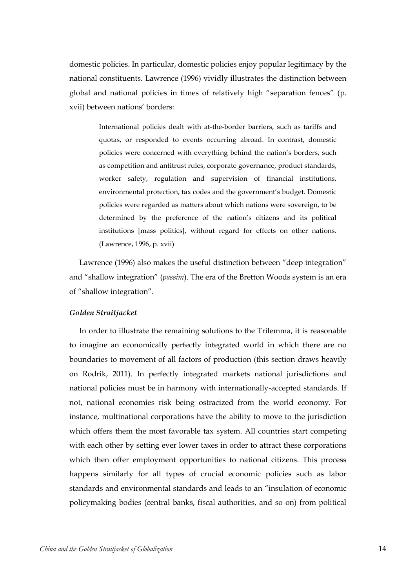domestic policies. In particular, domestic policies enjoy popular legitimacy by the national constituents. Lawrence (1996) vividly illustrates the distinction between global and national policies in times of relatively high "separation fences" (p. xvii) between nations' borders:

> International policies dealt with at-the-border barriers, such as tariffs and quotas, or responded to events occurring abroad. In contrast, domestic policies were concerned with everything behind the nation's borders, such as competition and antitrust rules, corporate governance, product standards, worker safety, regulation and supervision of financial institutions, environmental protection, tax codes and the government's budget. Domestic policies were regarded as matters about which nations were sovereign, to be determined by the preference of the nation's citizens and its political institutions [mass politics], without regard for effects on other nations. (Lawrence, 1996, p. xvii)

Lawrence (1996) also makes the useful distinction between "deep integration" and "shallow integration" (*passim*). The era of the Bretton Woods system is an era of "shallow integration".

#### <span id="page-13-0"></span>*Golden Straitjacket*

In order to illustrate the remaining solutions to the Trilemma, it is reasonable to imagine an economically perfectly integrated world in which there are no boundaries to movement of all factors of production (this section draws heavily on Rodrik, 2011). In perfectly integrated markets national jurisdictions and national policies must be in harmony with internationally-accepted standards. If not, national economies risk being ostracized from the world economy. For instance, multinational corporations have the ability to move to the jurisdiction which offers them the most favorable tax system. All countries start competing with each other by setting ever lower taxes in order to attract these corporations which then offer employment opportunities to national citizens. This process happens similarly for all types of crucial economic policies such as labor standards and environmental standards and leads to an "insulation of economic policymaking bodies (central banks, fiscal authorities, and so on) from political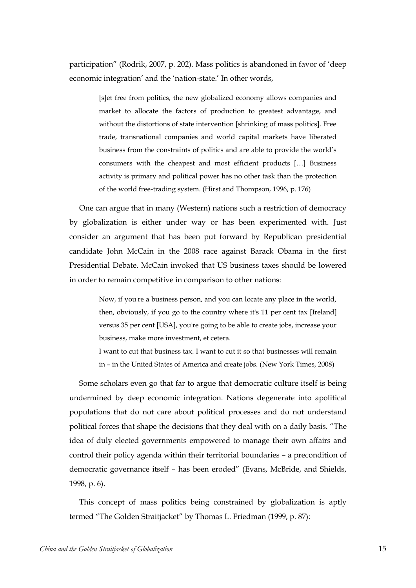participation" (Rodrik, 2007, p. 202). Mass politics is abandoned in favor of 'deep economic integration' and the 'nation-state.' In other words,

> [s]et free from politics, the new globalized economy allows companies and market to allocate the factors of production to greatest advantage, and without the distortions of state intervention [shrinking of mass politics]. Free trade, transnational companies and world capital markets have liberated business from the constraints of politics and are able to provide the world's consumers with the cheapest and most efficient products […] Business activity is primary and political power has no other task than the protection of the world free-trading system. (Hirst and Thompson, 1996, p. 176)

One can argue that in many (Western) nations such a restriction of democracy by globalization is either under way or has been experimented with. Just consider an argument that has been put forward by Republican presidential candidate John McCain in the 2008 race against Barack Obama in the first Presidential Debate. McCain invoked that US business taxes should be lowered in order to remain competitive in comparison to other nations:

> Now, if you're a business person, and you can locate any place in the world, then, obviously, if you go to the country where it's 11 per cent tax [Ireland] versus 35 per cent [USA], you're going to be able to create jobs, increase your business, make more investment, et cetera.

> I want to cut that business tax. I want to cut it so that businesses will remain in – in the United States of America and create jobs. (New York Times, 2008)

Some scholars even go that far to argue that democratic culture itself is being undermined by deep economic integration. Nations degenerate into apolitical populations that do not care about political processes and do not understand political forces that shape the decisions that they deal with on a daily basis. "The idea of duly elected governments empowered to manage their own affairs and control their policy agenda within their territorial boundaries – a precondition of democratic governance itself – has been eroded" (Evans, McBride, and Shields, 1998, p. 6).

This concept of mass politics being constrained by globalization is aptly termed "The Golden Straitjacket" by Thomas L. Friedman (1999, p. 87):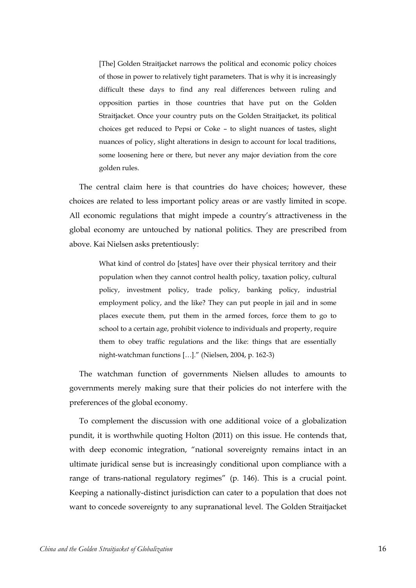[The] Golden Straitjacket narrows the political and economic policy choices of those in power to relatively tight parameters. That is why it is increasingly difficult these days to find any real differences between ruling and opposition parties in those countries that have put on the Golden Straitjacket. Once your country puts on the Golden Straitjacket, its political choices get reduced to Pepsi or Coke – to slight nuances of tastes, slight nuances of policy, slight alterations in design to account for local traditions, some loosening here or there, but never any major deviation from the core golden rules.

The central claim here is that countries do have choices; however, these choices are related to less important policy areas or are vastly limited in scope. All economic regulations that might impede a country's attractiveness in the global economy are untouched by national politics. They are prescribed from above. Kai Nielsen asks pretentiously:

> What kind of control do [states] have over their physical territory and their population when they cannot control health policy, taxation policy, cultural policy, investment policy, trade policy, banking policy, industrial employment policy, and the like? They can put people in jail and in some places execute them, put them in the armed forces, force them to go to school to a certain age, prohibit violence to individuals and property, require them to obey traffic regulations and the like: things that are essentially night-watchman functions […]." (Nielsen, 2004, p. 162-3)

The watchman function of governments Nielsen alludes to amounts to governments merely making sure that their policies do not interfere with the preferences of the global economy.

To complement the discussion with one additional voice of a globalization pundit, it is worthwhile quoting Holton (2011) on this issue. He contends that, with deep economic integration, "national sovereignty remains intact in an ultimate juridical sense but is increasingly conditional upon compliance with a range of trans-national regulatory regimes" (p. 146). This is a crucial point. Keeping a nationally-distinct jurisdiction can cater to a population that does not want to concede sovereignty to any supranational level. The Golden Straitjacket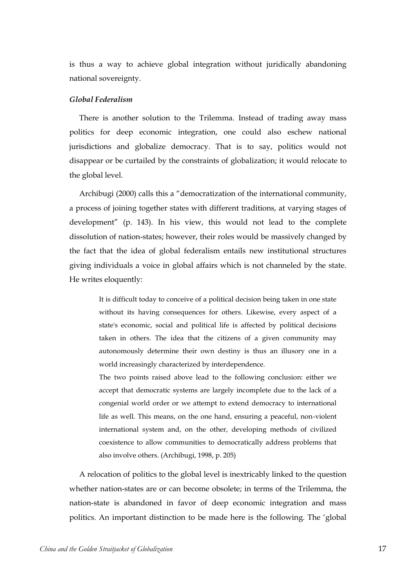is thus a way to achieve global integration without juridically abandoning national sovereignty.

### <span id="page-16-0"></span>*Global Federalism*

There is another solution to the Trilemma. Instead of trading away mass politics for deep economic integration, one could also eschew national jurisdictions and globalize democracy. That is to say, politics would not disappear or be curtailed by the constraints of globalization; it would relocate to the global level.

Archibugi (2000) calls this a "democratization of the international community, a process of joining together states with different traditions, at varying stages of development" (p. 143). In his view, this would not lead to the complete dissolution of nation-states; however, their roles would be massively changed by the fact that the idea of global federalism entails new institutional structures giving individuals a voice in global affairs which is not channeled by the state. He writes eloquently:

> It is difficult today to conceive of a political decision being taken in one state without its having consequences for others. Likewise, every aspect of a state's economic, social and political life is affected by political decisions taken in others. The idea that the citizens of a given community may autonomously determine their own destiny is thus an illusory one in a world increasingly characterized by interdependence.

> The two points raised above lead to the following conclusion: either we accept that democratic systems are largely incomplete due to the lack of a congenial world order or we attempt to extend democracy to international life as well. This means, on the one hand, ensuring a peaceful, non-violent international system and, on the other, developing methods of civilized coexistence to allow communities to democratically address problems that also involve others. (Archibugi, 1998, p. 205)

A relocation of politics to the global level is inextricably linked to the question whether nation-states are or can become obsolete; in terms of the Trilemma, the nation-state is abandoned in favor of deep economic integration and mass politics. An important distinction to be made here is the following. The 'global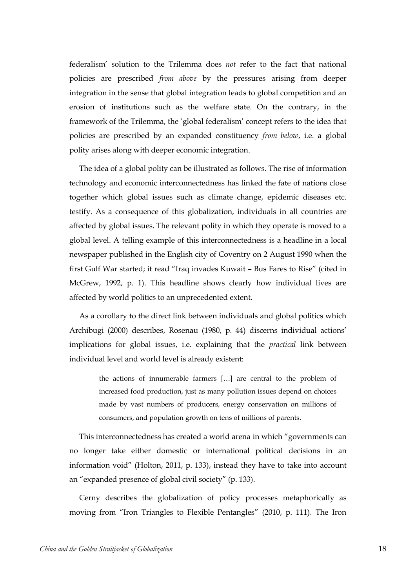federalism' solution to the Trilemma does *not* refer to the fact that national policies are prescribed *from above* by the pressures arising from deeper integration in the sense that global integration leads to global competition and an erosion of institutions such as the welfare state. On the contrary, in the framework of the Trilemma, the 'global federalism' concept refers to the idea that policies are prescribed by an expanded constituency *from below*, i.e. a global polity arises along with deeper economic integration.

The idea of a global polity can be illustrated as follows. The rise of information technology and economic interconnectedness has linked the fate of nations close together which global issues such as climate change, epidemic diseases etc. testify. As a consequence of this globalization, individuals in all countries are affected by global issues. The relevant polity in which they operate is moved to a global level. A telling example of this interconnectedness is a headline in a local newspaper published in the English city of Coventry on 2 August 1990 when the first Gulf War started; it read "Iraq invades Kuwait – Bus Fares to Rise" (cited in McGrew, 1992, p. 1). This headline shows clearly how individual lives are affected by world politics to an unprecedented extent.

As a corollary to the direct link between individuals and global politics which Archibugi (2000) describes, Rosenau (1980, p. 44) discerns individual actions' implications for global issues, i.e. explaining that the *practical* link between individual level and world level is already existent:

> the actions of innumerable farmers […] are central to the problem of increased food production, just as many pollution issues depend on choices made by vast numbers of producers, energy conservation on millions of consumers, and population growth on tens of millions of parents.

This interconnectedness has created a world arena in which "governments can no longer take either domestic or international political decisions in an information void" (Holton, 2011, p. 133), instead they have to take into account an "expanded presence of global civil society" (p. 133).

Cerny describes the globalization of policy processes metaphorically as moving from "Iron Triangles to Flexible Pentangles" (2010, p. 111). The Iron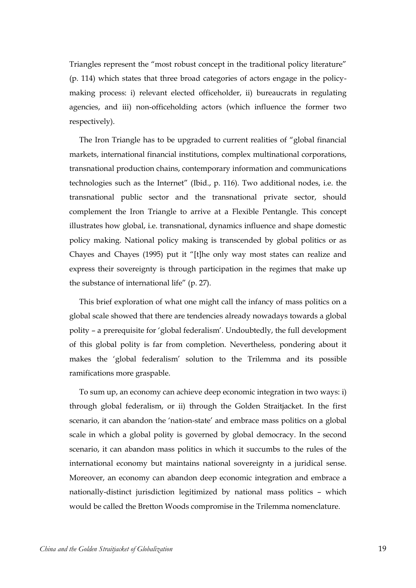Triangles represent the "most robust concept in the traditional policy literature" (p. 114) which states that three broad categories of actors engage in the policymaking process: i) relevant elected officeholder, ii) bureaucrats in regulating agencies, and iii) non-officeholding actors (which influence the former two respectively).

The Iron Triangle has to be upgraded to current realities of "global financial markets, international financial institutions, complex multinational corporations, transnational production chains, contemporary information and communications technologies such as the Internet" (Ibid., p. 116). Two additional nodes, i.e. the transnational public sector and the transnational private sector, should complement the Iron Triangle to arrive at a Flexible Pentangle. This concept illustrates how global, i.e. transnational, dynamics influence and shape domestic policy making. National policy making is transcended by global politics or as Chayes and Chayes (1995) put it "[t]he only way most states can realize and express their sovereignty is through participation in the regimes that make up the substance of international life" (p. 27).

This brief exploration of what one might call the infancy of mass politics on a global scale showed that there are tendencies already nowadays towards a global polity – a prerequisite for 'global federalism'. Undoubtedly, the full development of this global polity is far from completion. Nevertheless, pondering about it makes the 'global federalism' solution to the Trilemma and its possible ramifications more graspable.

To sum up, an economy can achieve deep economic integration in two ways: i) through global federalism, or ii) through the Golden Straitjacket. In the first scenario, it can abandon the 'nation-state' and embrace mass politics on a global scale in which a global polity is governed by global democracy. In the second scenario, it can abandon mass politics in which it succumbs to the rules of the international economy but maintains national sovereignty in a juridical sense. Moreover, an economy can abandon deep economic integration and embrace a nationally-distinct jurisdiction legitimized by national mass politics – which would be called the Bretton Woods compromise in the Trilemma nomenclature.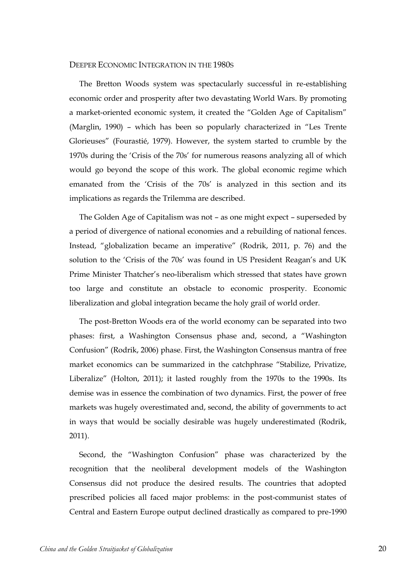#### <span id="page-19-0"></span>DEEPER ECONOMIC INTEGRATION IN THE 1980S

The Bretton Woods system was spectacularly successful in re-establishing economic order and prosperity after two devastating World Wars. By promoting a market-oriented economic system, it created the "Golden Age of Capitalism" (Marglin, 1990) – which has been so popularly characterized in "Les Trente Glorieuses" (Fourastié, 1979). However, the system started to crumble by the 1970s during the 'Crisis of the 70s' for numerous reasons analyzing all of which would go beyond the scope of this work. The global economic regime which emanated from the 'Crisis of the 70s' is analyzed in this section and its implications as regards the Trilemma are described.

The Golden Age of Capitalism was not – as one might expect – superseded by a period of divergence of national economies and a rebuilding of national fences. Instead, "globalization became an imperative" (Rodrik, 2011, p. 76) and the solution to the 'Crisis of the 70s' was found in US President Reagan's and UK Prime Minister Thatcher's neo-liberalism which stressed that states have grown too large and constitute an obstacle to economic prosperity. Economic liberalization and global integration became the holy grail of world order.

The post-Bretton Woods era of the world economy can be separated into two phases: first, a Washington Consensus phase and, second, a "Washington Confusion" (Rodrik, 2006) phase. First, the Washington Consensus mantra of free market economics can be summarized in the catchphrase "Stabilize, Privatize, Liberalize" (Holton, 2011); it lasted roughly from the 1970s to the 1990s. Its demise was in essence the combination of two dynamics. First, the power of free markets was hugely overestimated and, second, the ability of governments to act in ways that would be socially desirable was hugely underestimated (Rodrik, 2011).

Second, the "Washington Confusion" phase was characterized by the recognition that the neoliberal development models of the Washington Consensus did not produce the desired results. The countries that adopted prescribed policies all faced major problems: in the post-communist states of Central and Eastern Europe output declined drastically as compared to pre-1990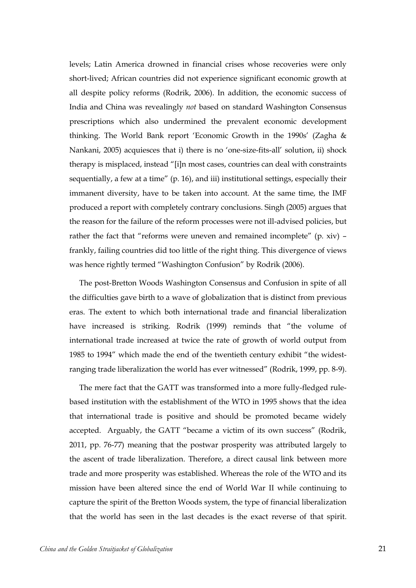levels; Latin America drowned in financial crises whose recoveries were only short-lived; African countries did not experience significant economic growth at all despite policy reforms (Rodrik, 2006). In addition, the economic success of India and China was revealingly *not* based on standard Washington Consensus prescriptions which also undermined the prevalent economic development thinking. The World Bank report 'Economic Growth in the 1990s' (Zagha & Nankani, 2005) acquiesces that i) there is no 'one-size-fits-all' solution, ii) shock therapy is misplaced, instead "[i]n most cases, countries can deal with constraints sequentially, a few at a time" (p. 16), and iii) institutional settings, especially their immanent diversity, have to be taken into account. At the same time, the IMF produced a report with completely contrary conclusions. Singh (2005) argues that the reason for the failure of the reform processes were not ill-advised policies, but rather the fact that "reforms were uneven and remained incomplete" (p. xiv) – frankly, failing countries did too little of the right thing. This divergence of views was hence rightly termed "Washington Confusion" by Rodrik (2006).

The post-Bretton Woods Washington Consensus and Confusion in spite of all the difficulties gave birth to a wave of globalization that is distinct from previous eras. The extent to which both international trade and financial liberalization have increased is striking. Rodrik (1999) reminds that "the volume of international trade increased at twice the rate of growth of world output from 1985 to 1994" which made the end of the twentieth century exhibit "the widestranging trade liberalization the world has ever witnessed" (Rodrik, 1999, pp. 8-9).

The mere fact that the GATT was transformed into a more fully-fledged rulebased institution with the establishment of the WTO in 1995 shows that the idea that international trade is positive and should be promoted became widely accepted. Arguably, the GATT "became a victim of its own success" (Rodrik, 2011, pp. 76-77) meaning that the postwar prosperity was attributed largely to the ascent of trade liberalization. Therefore, a direct causal link between more trade and more prosperity was established. Whereas the role of the WTO and its mission have been altered since the end of World War II while continuing to capture the spirit of the Bretton Woods system, the type of financial liberalization that the world has seen in the last decades is the exact reverse of that spirit.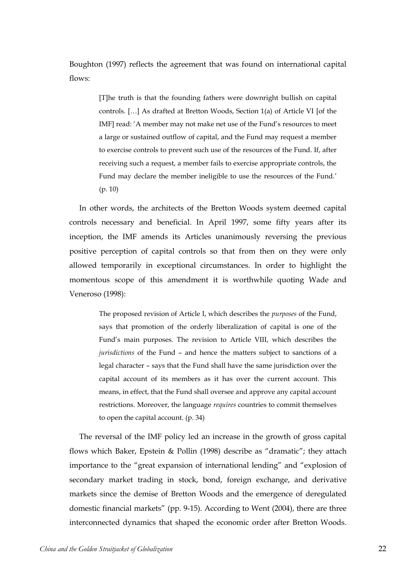Boughton (1997) reflects the agreement that was found on international capital flows:

> [T]he truth is that the founding fathers were downright bullish on capital controls. […] As drafted at Bretton Woods, Section 1(a) of Article VI [of the IMF] read: 'A member may not make net use of the Fund's resources to meet a large or sustained outflow of capital, and the Fund may request a member to exercise controls to prevent such use of the resources of the Fund. If, after receiving such a request, a member fails to exercise appropriate controls, the Fund may declare the member ineligible to use the resources of the Fund.' (p. 10)

In other words, the architects of the Bretton Woods system deemed capital controls necessary and beneficial. In April 1997, some fifty years after its inception, the IMF amends its Articles unanimously reversing the previous positive perception of capital controls so that from then on they were only allowed temporarily in exceptional circumstances. In order to highlight the momentous scope of this amendment it is worthwhile quoting Wade and Veneroso (1998):

> The proposed revision of Article I, which describes the *purposes* of the Fund, says that promotion of the orderly liberalization of capital is one of the Fund's main purposes. The revision to Article VIII, which describes the *jurisdictions* of the Fund – and hence the matters subject to sanctions of a legal character – says that the Fund shall have the same jurisdiction over the capital account of its members as it has over the current account. This means, in effect, that the Fund shall oversee and approve any capital account restrictions. Moreover, the language *requires* countries to commit themselves to open the capital account. (p. 34)

The reversal of the IMF policy led an increase in the growth of gross capital flows which Baker, Epstein & Pollin (1998) describe as "dramatic"; they attach importance to the "great expansion of international lending" and "explosion of secondary market trading in stock, bond, foreign exchange, and derivative markets since the demise of Bretton Woods and the emergence of deregulated domestic financial markets" (pp. 9-15). According to Went (2004), there are three interconnected dynamics that shaped the economic order after Bretton Woods.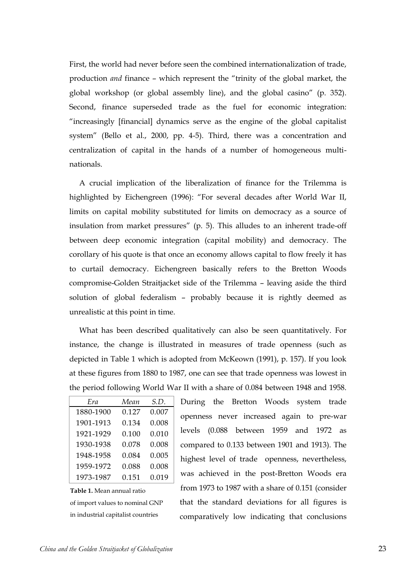First, the world had never before seen the combined internationalization of trade, production *and* finance – which represent the "trinity of the global market, the global workshop (or global assembly line), and the global casino" (p. 352). Second, finance superseded trade as the fuel for economic integration: "increasingly [financial] dynamics serve as the engine of the global capitalist system" (Bello et al., 2000, pp. 4-5). Third, there was a concentration and centralization of capital in the hands of a number of homogeneous multinationals.

A crucial implication of the liberalization of finance for the Trilemma is highlighted by Eichengreen (1996): "For several decades after World War II, limits on capital mobility substituted for limits on democracy as a source of insulation from market pressures" (p. 5). This alludes to an inherent trade-off between deep economic integration (capital mobility) and democracy. The corollary of his quote is that once an economy allows capital to flow freely it has to curtail democracy. Eichengreen basically refers to the Bretton Woods compromise-Golden Straitjacket side of the Trilemma – leaving aside the third solution of global federalism – probably because it is rightly deemed as unrealistic at this point in time.

What has been described qualitatively can also be seen quantitatively. For instance, the change is illustrated in measures of trade openness (such as depicted in Table 1 which is adopted from McKeown (1991), p. 157). If you look at these figures from 1880 to 1987, one can see that trade openness was lowest in the period following World War II with a share of 0.084 between 1948 and 1958.

| Era       | Mean  | S.D.  |
|-----------|-------|-------|
| 1880-1900 | 0.127 | 0.007 |
| 1901-1913 | 0.134 | 0.008 |
| 1921-1929 | 0.100 | 0.010 |
| 1930-1938 | 0.078 | 0.008 |
| 1948-1958 | 0.084 | 0.005 |
| 1959-1972 | 0.088 | 0.008 |
| 1973-1987 | 0.151 | 0.019 |

**Table 1.** Mean annual ratio of import values to nominal GNP in industrial capitalist countries

During the Bretton Woods system trade openness never increased again to pre-war levels (0.088 between 1959 and 1972 as compared to 0.133 between 1901 and 1913). The highest level of trade openness, nevertheless, was achieved in the post-Bretton Woods era from 1973 to 1987 with a share of 0.151 (consider that the standard deviations for all figures is comparatively low indicating that conclusions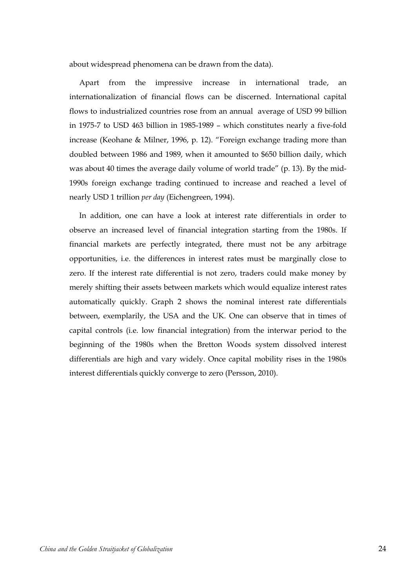about widespread phenomena can be drawn from the data).

Apart from the impressive increase in international trade, an internationalization of financial flows can be discerned. International capital flows to industrialized countries rose from an annual average of USD 99 billion in 1975-7 to USD 463 billion in 1985-1989 – which constitutes nearly a five-fold increase (Keohane & Milner, 1996, p. 12). "Foreign exchange trading more than doubled between 1986 and 1989, when it amounted to \$650 billion daily, which was about 40 times the average daily volume of world trade" (p. 13). By the mid-1990s foreign exchange trading continued to increase and reached a level of nearly USD 1 trillion *per day* (Eichengreen, 1994).

In addition, one can have a look at interest rate differentials in order to observe an increased level of financial integration starting from the 1980s. If financial markets are perfectly integrated, there must not be any arbitrage opportunities, i.e. the differences in interest rates must be marginally close to zero. If the interest rate differential is not zero, traders could make money by merely shifting their assets between markets which would equalize interest rates automatically quickly. Graph 2 shows the nominal interest rate differentials between, exemplarily, the USA and the UK. One can observe that in times of capital controls (i.e. low financial integration) from the interwar period to the beginning of the 1980s when the Bretton Woods system dissolved interest differentials are high and vary widely. Once capital mobility rises in the 1980s interest differentials quickly converge to zero (Persson, 2010).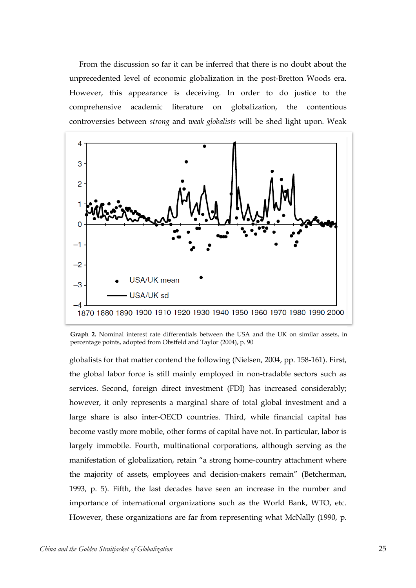From the discussion so far it can be inferred that there is no doubt about the unprecedented level of economic globalization in the post-Bretton Woods era. However, this appearance is deceiving. In order to do justice to the comprehensive academic literature on globalization, the contentious controversies between *strong* and *weak globalists* will be shed light upon. Weak



**Graph 2.** Nominal interest rate differentials between the USA and the UK on similar assets, in percentage points, adopted from Obstfeld and Taylor (2004), p. 90

globalists for that matter contend the following (Nielsen, 2004, pp. 158-161). First, the global labor force is still mainly employed in non-tradable sectors such as services. Second, foreign direct investment (FDI) has increased considerably; however, it only represents a marginal share of total global investment and a large share is also inter-OECD countries. Third, while financial capital has become vastly more mobile, other forms of capital have not. In particular, labor is largely immobile. Fourth, multinational corporations, although serving as the manifestation of globalization, retain "a strong home-country attachment where the majority of assets, employees and decision-makers remain" (Betcherman, 1993, p. 5). Fifth, the last decades have seen an increase in the number and importance of international organizations such as the World Bank, WTO, etc. However, these organizations are far from representing what McNally (1990, p.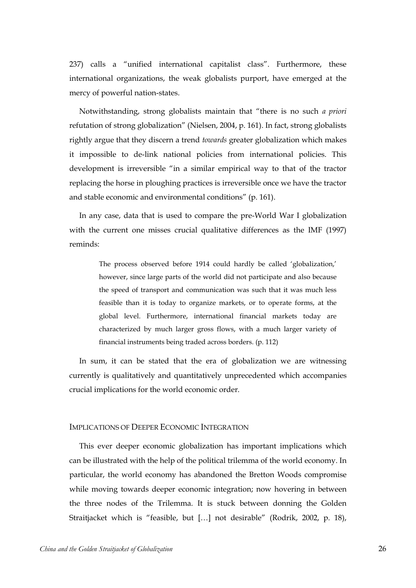237) calls a "unified international capitalist class". Furthermore, these international organizations, the weak globalists purport, have emerged at the mercy of powerful nation-states.

Notwithstanding, strong globalists maintain that "there is no such *a priori* refutation of strong globalization" (Nielsen, 2004, p. 161). In fact, strong globalists rightly argue that they discern a trend *towards* greater globalization which makes it impossible to de-link national policies from international policies. This development is irreversible "in a similar empirical way to that of the tractor replacing the horse in ploughing practices is irreversible once we have the tractor and stable economic and environmental conditions" (p. 161).

In any case, data that is used to compare the pre-World War I globalization with the current one misses crucial qualitative differences as the IMF (1997) reminds:

> The process observed before 1914 could hardly be called 'globalization,' however, since large parts of the world did not participate and also because the speed of transport and communication was such that it was much less feasible than it is today to organize markets, or to operate forms, at the global level. Furthermore, international financial markets today are characterized by much larger gross flows, with a much larger variety of financial instruments being traded across borders. (p. 112)

In sum, it can be stated that the era of globalization we are witnessing currently is qualitatively and quantitatively unprecedented which accompanies crucial implications for the world economic order.

#### <span id="page-25-0"></span>IMPLICATIONS OF DEEPER ECONOMIC INTEGRATION

This ever deeper economic globalization has important implications which can be illustrated with the help of the political trilemma of the world economy. In particular, the world economy has abandoned the Bretton Woods compromise while moving towards deeper economic integration; now hovering in between the three nodes of the Trilemma. It is stuck between donning the Golden Straitjacket which is "feasible, but […] not desirable" (Rodrik, 2002, p. 18),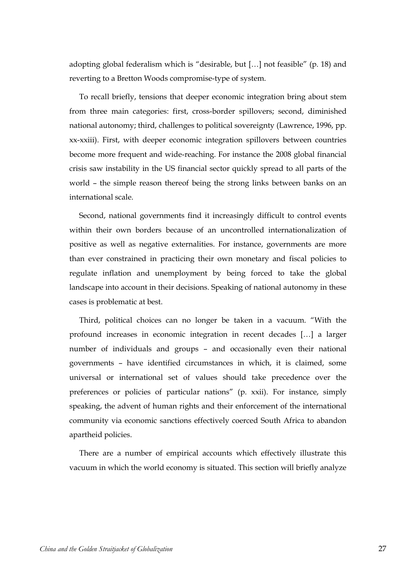adopting global federalism which is "desirable, but […] not feasible" (p. 18) and reverting to a Bretton Woods compromise-type of system.

To recall briefly, tensions that deeper economic integration bring about stem from three main categories: first, cross-border spillovers; second, diminished national autonomy; third, challenges to political sovereignty (Lawrence, 1996, pp. xx-xxiii). First, with deeper economic integration spillovers between countries become more frequent and wide-reaching. For instance the 2008 global financial crisis saw instability in the US financial sector quickly spread to all parts of the world – the simple reason thereof being the strong links between banks on an international scale.

Second, national governments find it increasingly difficult to control events within their own borders because of an uncontrolled internationalization of positive as well as negative externalities. For instance, governments are more than ever constrained in practicing their own monetary and fiscal policies to regulate inflation and unemployment by being forced to take the global landscape into account in their decisions. Speaking of national autonomy in these cases is problematic at best.

Third, political choices can no longer be taken in a vacuum. "With the profound increases in economic integration in recent decades […] a larger number of individuals and groups – and occasionally even their national governments – have identified circumstances in which, it is claimed, some universal or international set of values should take precedence over the preferences or policies of particular nations" (p. xxii). For instance, simply speaking, the advent of human rights and their enforcement of the international community via economic sanctions effectively coerced South Africa to abandon apartheid policies.

There are a number of empirical accounts which effectively illustrate this vacuum in which the world economy is situated. This section will briefly analyze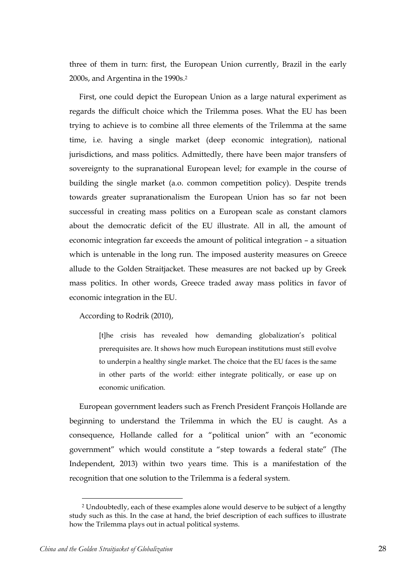three of them in turn: first, the European Union currently, Brazil in the early 2000s, and Argentina in the 1990s. 2

First, one could depict the European Union as a large natural experiment as regards the difficult choice which the Trilemma poses. What the EU has been trying to achieve is to combine all three elements of the Trilemma at the same time, i.e. having a single market (deep economic integration), national jurisdictions, and mass politics. Admittedly, there have been major transfers of sovereignty to the supranational European level; for example in the course of building the single market (a.o. common competition policy). Despite trends towards greater supranationalism the European Union has so far not been successful in creating mass politics on a European scale as constant clamors about the democratic deficit of the EU illustrate. All in all, the amount of economic integration far exceeds the amount of political integration – a situation which is untenable in the long run. The imposed austerity measures on Greece allude to the Golden Straitjacket. These measures are not backed up by Greek mass politics. In other words, Greece traded away mass politics in favor of economic integration in the EU.

According to Rodrik (2010),

[t]he crisis has revealed how demanding globalization's political prerequisites are. It shows how much European institutions must still evolve to underpin a healthy single market. The choice that the EU faces is the same in other parts of the world: either integrate politically, or ease up on economic unification.

European government leaders such as French President François Hollande are beginning to understand the Trilemma in which the EU is caught. As a consequence, Hollande called for a "political union" with an "economic government" which would constitute a "step towards a federal state" (The Independent, 2013) within two years time. This is a manifestation of the recognition that one solution to the Trilemma is a federal system.

 $\overline{a}$ 

<sup>2</sup> Undoubtedly, each of these examples alone would deserve to be subject of a lengthy study such as this. In the case at hand, the brief description of each suffices to illustrate how the Trilemma plays out in actual political systems.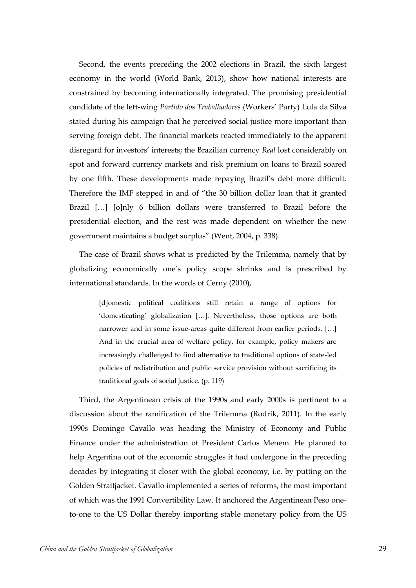Second, the events preceding the 2002 elections in Brazil, the sixth largest economy in the world (World Bank, 2013), show how national interests are constrained by becoming internationally integrated. The promising presidential candidate of the left-wing *Partido dos Trabalhadores* (Workers' Party) Lula da Silva stated during his campaign that he perceived social justice more important than serving foreign debt. The financial markets reacted immediately to the apparent disregard for investors' interests; the Brazilian currency *Real* lost considerably on spot and forward currency markets and risk premium on loans to Brazil soared by one fifth. These developments made repaying Brazil's debt more difficult. Therefore the IMF stepped in and of "the 30 billion dollar loan that it granted Brazil […] [o]nly 6 billion dollars were transferred to Brazil before the presidential election, and the rest was made dependent on whether the new government maintains a budget surplus" (Went, 2004, p. 338).

The case of Brazil shows what is predicted by the Trilemma, namely that by globalizing economically one's policy scope shrinks and is prescribed by international standards. In the words of Cerny (2010),

> [d]omestic political coalitions still retain a range of options for 'domesticating' globalization […]. Nevertheless, those options are both narrower and in some issue-areas quite different from earlier periods. […] And in the crucial area of welfare policy, for example, policy makers are increasingly challenged to find alternative to traditional options of state-led policies of redistribution and public service provision without sacrificing its traditional goals of social justice. (p. 119)

Third, the Argentinean crisis of the 1990s and early 2000s is pertinent to a discussion about the ramification of the Trilemma (Rodrik, 2011). In the early 1990s Domingo Cavallo was heading the Ministry of Economy and Public Finance under the administration of President Carlos Menem. He planned to help Argentina out of the economic struggles it had undergone in the preceding decades by integrating it closer with the global economy, i.e. by putting on the Golden Straitjacket. Cavallo implemented a series of reforms, the most important of which was the 1991 Convertibility Law. It anchored the Argentinean Peso oneto-one to the US Dollar thereby importing stable monetary policy from the US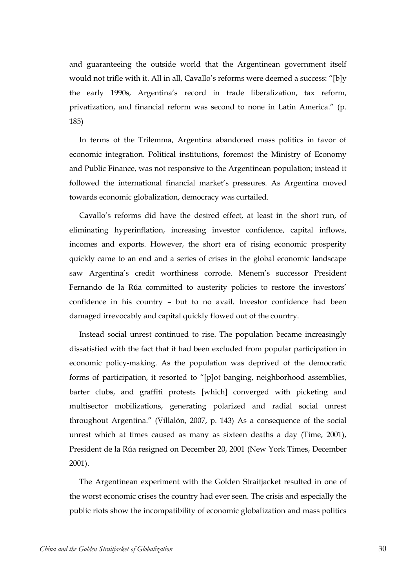and guaranteeing the outside world that the Argentinean government itself would not trifle with it. All in all, Cavallo's reforms were deemed a success: "[b]y the early 1990s, Argentina's record in trade liberalization, tax reform, privatization, and financial reform was second to none in Latin America." (p. 185)

In terms of the Trilemma, Argentina abandoned mass politics in favor of economic integration. Political institutions, foremost the Ministry of Economy and Public Finance, was not responsive to the Argentinean population; instead it followed the international financial market's pressures. As Argentina moved towards economic globalization, democracy was curtailed.

Cavallo's reforms did have the desired effect, at least in the short run, of eliminating hyperinflation, increasing investor confidence, capital inflows, incomes and exports. However, the short era of rising economic prosperity quickly came to an end and a series of crises in the global economic landscape saw Argentina's credit worthiness corrode. Menem's successor President Fernando de la Rúa committed to austerity policies to restore the investors' confidence in his country – but to no avail. Investor confidence had been damaged irrevocably and capital quickly flowed out of the country.

Instead social unrest continued to rise. The population became increasingly dissatisfied with the fact that it had been excluded from popular participation in economic policy-making. As the population was deprived of the democratic forms of participation, it resorted to "[p]ot banging, neighborhood assemblies, barter clubs, and graffiti protests [which] converged with picketing and multisector mobilizations, generating polarized and radial social unrest throughout Argentina." (Villalón, 2007, p. 143) As a consequence of the social unrest which at times caused as many as sixteen deaths a day (Time, 2001), President de la Rúa resigned on December 20, 2001 (New York Times, December 2001).

The Argentinean experiment with the Golden Straitjacket resulted in one of the worst economic crises the country had ever seen. The crisis and especially the public riots show the incompatibility of economic globalization and mass politics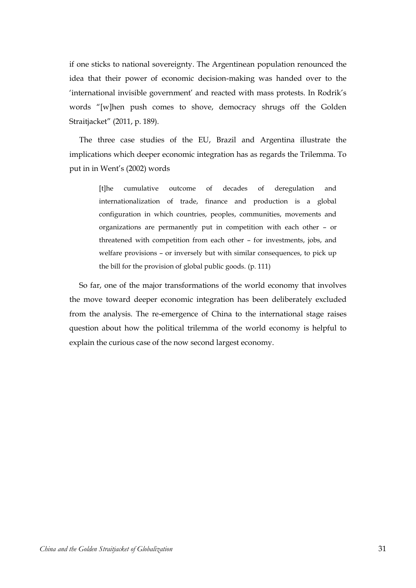if one sticks to national sovereignty. The Argentinean population renounced the idea that their power of economic decision-making was handed over to the 'international invisible government' and reacted with mass protests. In Rodrik's words "[w]hen push comes to shove, democracy shrugs off the Golden Straitjacket" (2011, p. 189).

The three case studies of the EU, Brazil and Argentina illustrate the implications which deeper economic integration has as regards the Trilemma. To put in in Went's (2002) words

> [t]he cumulative outcome of decades of deregulation and internationalization of trade, finance and production is a global configuration in which countries, peoples, communities, movements and organizations are permanently put in competition with each other – or threatened with competition from each other – for investments, jobs, and welfare provisions – or inversely but with similar consequences, to pick up the bill for the provision of global public goods. (p. 111)

So far, one of the major transformations of the world economy that involves the move toward deeper economic integration has been deliberately excluded from the analysis. The re-emergence of China to the international stage raises question about how the political trilemma of the world economy is helpful to explain the curious case of the now second largest economy.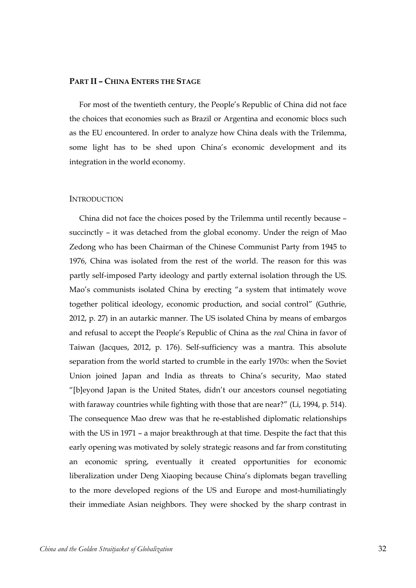### <span id="page-31-0"></span>**PART II – CHINA ENTERS THE STAGE**

For most of the twentieth century, the People's Republic of China did not face the choices that economies such as Brazil or Argentina and economic blocs such as the EU encountered. In order to analyze how China deals with the Trilemma, some light has to be shed upon China's economic development and its integration in the world economy.

### <span id="page-31-1"></span>**INTRODUCTION**

China did not face the choices posed by the Trilemma until recently because – succinctly – it was detached from the global economy. Under the reign of Mao Zedong who has been Chairman of the Chinese Communist Party from 1945 to 1976, China was isolated from the rest of the world. The reason for this was partly self-imposed Party ideology and partly external isolation through the US. Mao's communists isolated China by erecting "a system that intimately wove together political ideology, economic production, and social control" (Guthrie, 2012, p. 27) in an autarkic manner. The US isolated China by means of embargos and refusal to accept the People's Republic of China as the *real* China in favor of Taiwan (Jacques, 2012, p. 176). Self-sufficiency was a mantra. This absolute separation from the world started to crumble in the early 1970s: when the Soviet Union joined Japan and India as threats to China's security, Mao stated "[b]eyond Japan is the United States, didn't our ancestors counsel negotiating with faraway countries while fighting with those that are near?" (Li, 1994, p. 514). The consequence Mao drew was that he re-established diplomatic relationships with the US in 1971 – a major breakthrough at that time. Despite the fact that this early opening was motivated by solely strategic reasons and far from constituting an economic spring, eventually it created opportunities for economic liberalization under Deng Xiaoping because China's diplomats began travelling to the more developed regions of the US and Europe and most-humiliatingly their immediate Asian neighbors. They were shocked by the sharp contrast in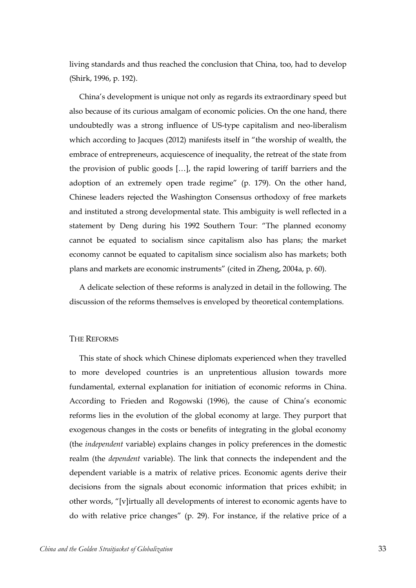living standards and thus reached the conclusion that China, too, had to develop (Shirk, 1996, p. 192).

China's development is unique not only as regards its extraordinary speed but also because of its curious amalgam of economic policies. On the one hand, there undoubtedly was a strong influence of US-type capitalism and neo-liberalism which according to Jacques (2012) manifests itself in "the worship of wealth, the embrace of entrepreneurs, acquiescence of inequality, the retreat of the state from the provision of public goods […], the rapid lowering of tariff barriers and the adoption of an extremely open trade regime" (p. 179). On the other hand, Chinese leaders rejected the Washington Consensus orthodoxy of free markets and instituted a strong developmental state. This ambiguity is well reflected in a statement by Deng during his 1992 Southern Tour: "The planned economy cannot be equated to socialism since capitalism also has plans; the market economy cannot be equated to capitalism since socialism also has markets; both plans and markets are economic instruments" (cited in Zheng, 2004a, p. 60).

A delicate selection of these reforms is analyzed in detail in the following. The discussion of the reforms themselves is enveloped by theoretical contemplations.

# <span id="page-32-0"></span>THE REFORMS

This state of shock which Chinese diplomats experienced when they travelled to more developed countries is an unpretentious allusion towards more fundamental, external explanation for initiation of economic reforms in China. According to Frieden and Rogowski (1996), the cause of China's economic reforms lies in the evolution of the global economy at large. They purport that exogenous changes in the costs or benefits of integrating in the global economy (the *independent* variable) explains changes in policy preferences in the domestic realm (the *dependent* variable). The link that connects the independent and the dependent variable is a matrix of relative prices. Economic agents derive their decisions from the signals about economic information that prices exhibit; in other words, "[v]irtually all developments of interest to economic agents have to do with relative price changes" (p. 29). For instance, if the relative price of a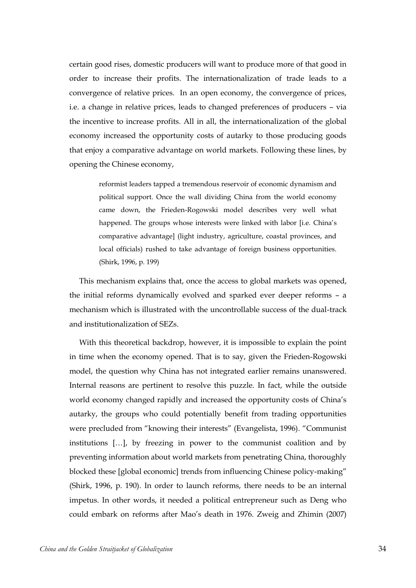certain good rises, domestic producers will want to produce more of that good in order to increase their profits. The internationalization of trade leads to a convergence of relative prices. In an open economy, the convergence of prices, i.e. a change in relative prices, leads to changed preferences of producers – via the incentive to increase profits. All in all, the internationalization of the global economy increased the opportunity costs of autarky to those producing goods that enjoy a comparative advantage on world markets. Following these lines, by opening the Chinese economy,

> reformist leaders tapped a tremendous reservoir of economic dynamism and political support. Once the wall dividing China from the world economy came down, the Frieden-Rogowski model describes very well what happened. The groups whose interests were linked with labor [i.e. China's comparative advantage] (light industry, agriculture, coastal provinces, and local officials) rushed to take advantage of foreign business opportunities. (Shirk, 1996, p. 199)

This mechanism explains that, once the access to global markets was opened, the initial reforms dynamically evolved and sparked ever deeper reforms – a mechanism which is illustrated with the uncontrollable success of the dual-track and institutionalization of SEZs.

With this theoretical backdrop, however, it is impossible to explain the point in time when the economy opened. That is to say, given the Frieden-Rogowski model, the question why China has not integrated earlier remains unanswered. Internal reasons are pertinent to resolve this puzzle. In fact, while the outside world economy changed rapidly and increased the opportunity costs of China's autarky, the groups who could potentially benefit from trading opportunities were precluded from "knowing their interests" (Evangelista, 1996). "Communist institutions […], by freezing in power to the communist coalition and by preventing information about world markets from penetrating China, thoroughly blocked these [global economic] trends from influencing Chinese policy-making" (Shirk, 1996, p. 190). In order to launch reforms, there needs to be an internal impetus. In other words, it needed a political entrepreneur such as Deng who could embark on reforms after Mao's death in 1976. Zweig and Zhimin (2007)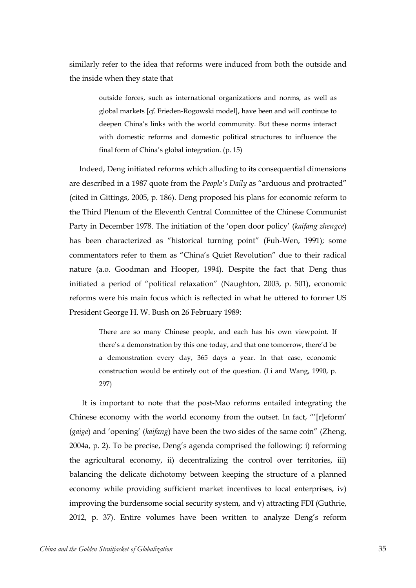similarly refer to the idea that reforms were induced from both the outside and the inside when they state that

> outside forces, such as international organizations and norms, as well as global markets [*cf.* Frieden-Rogowski model], have been and will continue to deepen China's links with the world community. But these norms interact with domestic reforms and domestic political structures to influence the final form of China's global integration. (p. 15)

Indeed, Deng initiated reforms which alluding to its consequential dimensions are described in a 1987 quote from the *People's Daily* as "arduous and protracted" (cited in Gittings, 2005, p. 186). Deng proposed his plans for economic reform to the Third Plenum of the Eleventh Central Committee of the Chinese Communist Party in December 1978. The initiation of the 'open door policy' (*kaifang zhengce*) has been characterized as "historical turning point" (Fuh-Wen, 1991); some commentators refer to them as "China's Quiet Revolution" due to their radical nature (a.o. Goodman and Hooper, 1994). Despite the fact that Deng thus initiated a period of "political relaxation" (Naughton, 2003, p. 501), economic reforms were his main focus which is reflected in what he uttered to former US President George H. W. Bush on 26 February 1989:

> There are so many Chinese people, and each has his own viewpoint. If there's a demonstration by this one today, and that one tomorrow, there'd be a demonstration every day, 365 days a year. In that case, economic construction would be entirely out of the question. (Li and Wang, 1990, p. 297)

It is important to note that the post-Mao reforms entailed integrating the Chinese economy with the world economy from the outset. In fact, "'[r]eform' (*gaige*) and 'opening' (*kaifang*) have been the two sides of the same coin" (Zheng, 2004a, p. 2). To be precise, Deng's agenda comprised the following: i) reforming the agricultural economy, ii) decentralizing the control over territories, iii) balancing the delicate dichotomy between keeping the structure of a planned economy while providing sufficient market incentives to local enterprises, iv) improving the burdensome social security system, and v) attracting FDI (Guthrie, 2012, p. 37). Entire volumes have been written to analyze Deng's reform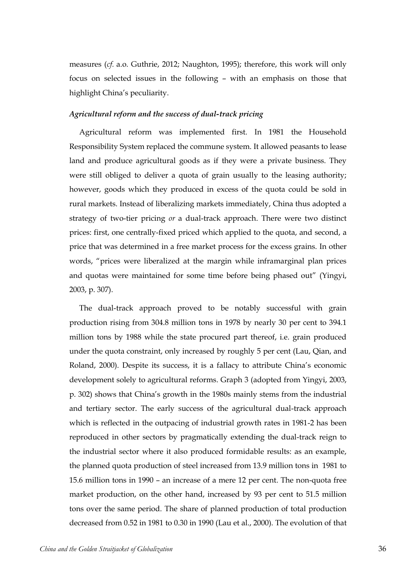measures (*cf.* a.o. Guthrie, 2012; Naughton, 1995); therefore, this work will only focus on selected issues in the following – with an emphasis on those that highlight China's peculiarity.

# <span id="page-35-0"></span>*Agricultural reform and the success of dual-track pricing*

Agricultural reform was implemented first. In 1981 the Household Responsibility System replaced the commune system. It allowed peasants to lease land and produce agricultural goods as if they were a private business. They were still obliged to deliver a quota of grain usually to the leasing authority; however, goods which they produced in excess of the quota could be sold in rural markets. Instead of liberalizing markets immediately, China thus adopted a strategy of two-tier pricing *or* a dual-track approach. There were two distinct prices: first, one centrally-fixed priced which applied to the quota, and second, a price that was determined in a free market process for the excess grains. In other words, "prices were liberalized at the margin while inframarginal plan prices and quotas were maintained for some time before being phased out" (Yingyi, 2003, p. 307).

The dual-track approach proved to be notably successful with grain production rising from 304.8 million tons in 1978 by nearly 30 per cent to 394.1 million tons by 1988 while the state procured part thereof, i.e. grain produced under the quota constraint, only increased by roughly 5 per cent (Lau, Qian, and Roland, 2000). Despite its success, it is a fallacy to attribute China's economic development solely to agricultural reforms. Graph 3 (adopted from Yingyi, 2003, p. 302) shows that China's growth in the 1980s mainly stems from the industrial and tertiary sector. The early success of the agricultural dual-track approach which is reflected in the outpacing of industrial growth rates in 1981-2 has been reproduced in other sectors by pragmatically extending the dual-track reign to the industrial sector where it also produced formidable results: as an example, the planned quota production of steel increased from 13.9 million tons in 1981 to 15.6 million tons in 1990 – an increase of a mere 12 per cent. The non-quota free market production, on the other hand, increased by 93 per cent to 51.5 million tons over the same period. The share of planned production of total production decreased from 0.52 in 1981 to 0.30 in 1990 (Lau et al., 2000). The evolution of that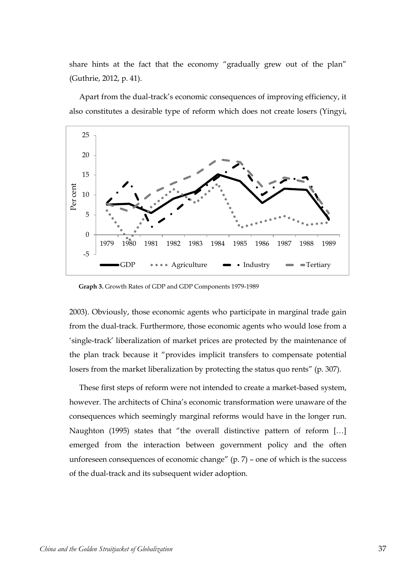share hints at the fact that the economy "gradually grew out of the plan" (Guthrie, 2012, p. 41).

Apart from the dual-track's economic consequences of improving efficiency, it also constitutes a desirable type of reform which does not create losers (Yingyi,



**Graph 3.** Growth Rates of GDP and GDP Components 1979-1989

2003). Obviously, those economic agents who participate in marginal trade gain from the dual-track. Furthermore, those economic agents who would lose from a 'single-track' liberalization of market prices are protected by the maintenance of the plan track because it "provides implicit transfers to compensate potential losers from the market liberalization by protecting the status quo rents" (p. 307).

These first steps of reform were not intended to create a market-based system, however. The architects of China's economic transformation were unaware of the consequences which seemingly marginal reforms would have in the longer run. Naughton (1995) states that "the overall distinctive pattern of reform […] emerged from the interaction between government policy and the often unforeseen consequences of economic change" (p. 7) – one of which is the success of the dual-track and its subsequent wider adoption.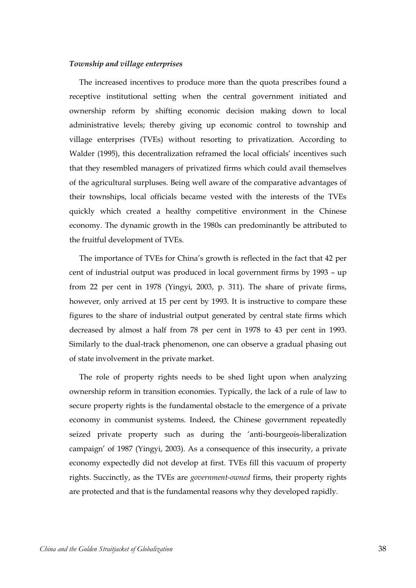## *Township and village enterprises*

The increased incentives to produce more than the quota prescribes found a receptive institutional setting when the central government initiated and ownership reform by shifting economic decision making down to local administrative levels; thereby giving up economic control to township and village enterprises (TVEs) without resorting to privatization. According to Walder (1995), this decentralization reframed the local officials' incentives such that they resembled managers of privatized firms which could avail themselves of the agricultural surpluses. Being well aware of the comparative advantages of their townships, local officials became vested with the interests of the TVEs quickly which created a healthy competitive environment in the Chinese economy. The dynamic growth in the 1980s can predominantly be attributed to the fruitful development of TVEs.

The importance of TVEs for China's growth is reflected in the fact that 42 per cent of industrial output was produced in local government firms by 1993 – up from 22 per cent in 1978 (Yingyi, 2003, p. 311). The share of private firms, however, only arrived at 15 per cent by 1993. It is instructive to compare these figures to the share of industrial output generated by central state firms which decreased by almost a half from 78 per cent in 1978 to 43 per cent in 1993. Similarly to the dual-track phenomenon, one can observe a gradual phasing out of state involvement in the private market.

The role of property rights needs to be shed light upon when analyzing ownership reform in transition economies. Typically, the lack of a rule of law to secure property rights is the fundamental obstacle to the emergence of a private economy in communist systems. Indeed, the Chinese government repeatedly seized private property such as during the 'anti-bourgeois-liberalization campaign' of 1987 (Yingyi, 2003). As a consequence of this insecurity, a private economy expectedly did not develop at first. TVEs fill this vacuum of property rights. Succinctly, as the TVEs are *government-owned* firms, their property rights are protected and that is the fundamental reasons why they developed rapidly.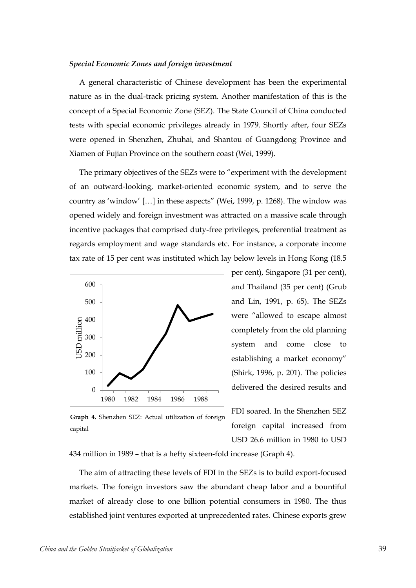### *Special Economic Zones and foreign investment*

A general characteristic of Chinese development has been the experimental nature as in the dual-track pricing system. Another manifestation of this is the concept of a Special Economic Zone (SEZ). The State Council of China conducted tests with special economic privileges already in 1979. Shortly after, four SEZs were opened in Shenzhen, Zhuhai, and Shantou of Guangdong Province and Xiamen of Fujian Province on the southern coast (Wei, 1999).

The primary objectives of the SEZs were to "experiment with the development of an outward-looking, market-oriented economic system, and to serve the country as 'window' […] in these aspects" (Wei, 1999, p. 1268). The window was opened widely and foreign investment was attracted on a massive scale through incentive packages that comprised duty-free privileges, preferential treatment as regards employment and wage standards etc. For instance, a corporate income tax rate of 15 per cent was instituted which lay below levels in Hong Kong (18.5



per cent), Singapore (31 per cent), and Thailand (35 per cent) (Grub and Lin, 1991, p. 65). The SEZs were "allowed to escape almost completely from the old planning system and come close to establishing a market economy" (Shirk, 1996, p. 201). The policies delivered the desired results and

FDI soared. In the Shenzhen SEZ foreign capital increased from USD 26.6 million in 1980 to USD

capital

**Graph 4.** Shenzhen SEZ: Actual utilization of foreign

434 million in 1989 – that is a hefty sixteen-fold increase (Graph 4).

The aim of attracting these levels of FDI in the SEZs is to build export-focused markets. The foreign investors saw the abundant cheap labor and a bountiful market of already close to one billion potential consumers in 1980. The thus established joint ventures exported at unprecedented rates. Chinese exports grew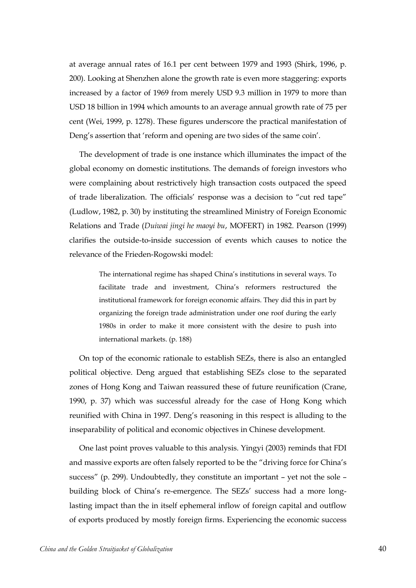at average annual rates of 16.1 per cent between 1979 and 1993 (Shirk, 1996, p. 200). Looking at Shenzhen alone the growth rate is even more staggering: exports increased by a factor of 1969 from merely USD 9.3 million in 1979 to more than USD 18 billion in 1994 which amounts to an average annual growth rate of 75 per cent (Wei, 1999, p. 1278). These figures underscore the practical manifestation of Deng's assertion that 'reform and opening are two sides of the same coin'.

The development of trade is one instance which illuminates the impact of the global economy on domestic institutions. The demands of foreign investors who were complaining about restrictively high transaction costs outpaced the speed of trade liberalization. The officials' response was a decision to "cut red tape" (Ludlow, 1982, p. 30) by instituting the streamlined Ministry of Foreign Economic Relations and Trade (*Duiwai jingi he maoyi bu*, MOFERT) in 1982. Pearson (1999) clarifies the outside-to-inside succession of events which causes to notice the relevance of the Frieden-Rogowski model:

> The international regime has shaped China's institutions in several ways. To facilitate trade and investment, China's reformers restructured the institutional framework for foreign economic affairs. They did this in part by organizing the foreign trade administration under one roof during the early 1980s in order to make it more consistent with the desire to push into international markets. (p. 188)

On top of the economic rationale to establish SEZs, there is also an entangled political objective. Deng argued that establishing SEZs close to the separated zones of Hong Kong and Taiwan reassured these of future reunification (Crane, 1990, p. 37) which was successful already for the case of Hong Kong which reunified with China in 1997. Deng's reasoning in this respect is alluding to the inseparability of political and economic objectives in Chinese development.

One last point proves valuable to this analysis. Yingyi (2003) reminds that FDI and massive exports are often falsely reported to be the "driving force for China's success" (p. 299). Undoubtedly, they constitute an important – yet not the sole – building block of China's re-emergence. The SEZs' success had a more longlasting impact than the in itself ephemeral inflow of foreign capital and outflow of exports produced by mostly foreign firms. Experiencing the economic success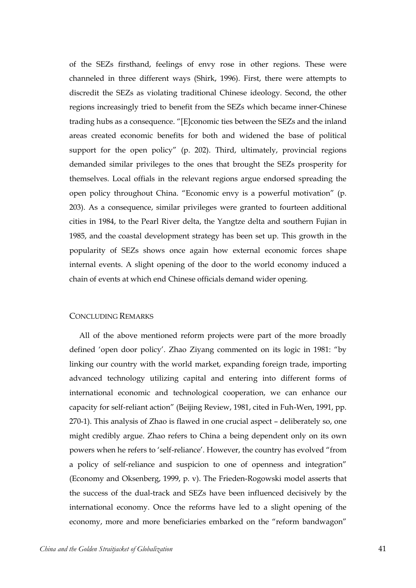of the SEZs firsthand, feelings of envy rose in other regions. These were channeled in three different ways (Shirk, 1996). First, there were attempts to discredit the SEZs as violating traditional Chinese ideology. Second, the other regions increasingly tried to benefit from the SEZs which became inner-Chinese trading hubs as a consequence. "[E]conomic ties between the SEZs and the inland areas created economic benefits for both and widened the base of political support for the open policy" (p. 202). Third, ultimately, provincial regions demanded similar privileges to the ones that brought the SEZs prosperity for themselves. Local offials in the relevant regions argue endorsed spreading the open policy throughout China. "Economic envy is a powerful motivation" (p. 203). As a consequence, similar privileges were granted to fourteen additional cities in 1984, to the Pearl River delta, the Yangtze delta and southern Fujian in 1985, and the coastal development strategy has been set up. This growth in the popularity of SEZs shows once again how external economic forces shape internal events. A slight opening of the door to the world economy induced a chain of events at which end Chinese officials demand wider opening.

# CONCLUDING REMARKS

All of the above mentioned reform projects were part of the more broadly defined 'open door policy'. Zhao Ziyang commented on its logic in 1981: "by linking our country with the world market, expanding foreign trade, importing advanced technology utilizing capital and entering into different forms of international economic and technological cooperation, we can enhance our capacity for self-reliant action" (Beijing Review, 1981, cited in Fuh-Wen, 1991, pp. 270-1). This analysis of Zhao is flawed in one crucial aspect – deliberately so, one might credibly argue. Zhao refers to China a being dependent only on its own powers when he refers to 'self-reliance'. However, the country has evolved "from a policy of self-reliance and suspicion to one of openness and integration" (Economy and Oksenberg, 1999, p. v). The Frieden-Rogowski model asserts that the success of the dual-track and SEZs have been influenced decisively by the international economy. Once the reforms have led to a slight opening of the economy, more and more beneficiaries embarked on the "reform bandwagon"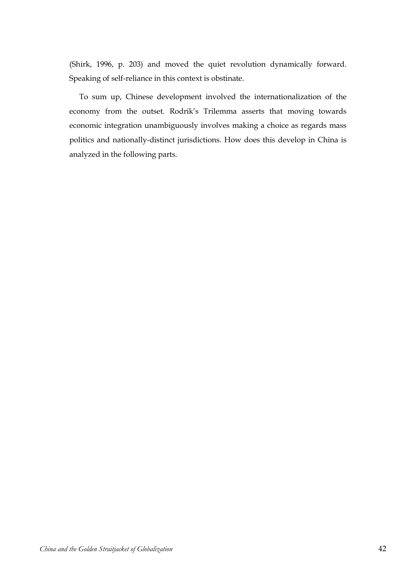(Shirk, 1996, p. 203) and moved the quiet revolution dynamically forward. Speaking of self-reliance in this context is obstinate.

To sum up, Chinese development involved the internationalization of the economy from the outset. Rodrik's Trilemma asserts that moving towards economic integration unambiguously involves making a choice as regards mass politics and nationally-distinct jurisdictions. How does this develop in China is analyzed in the following parts.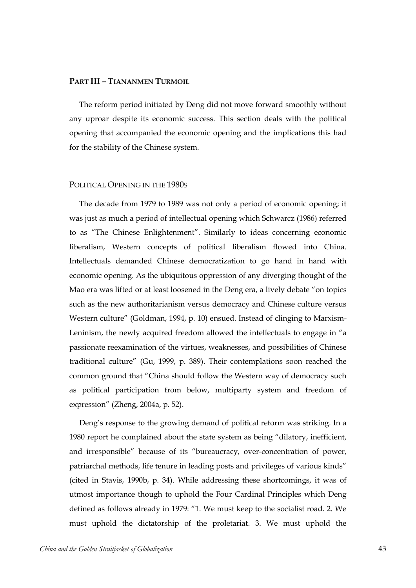# **PART III – TIANANMEN TURMOIL**

The reform period initiated by Deng did not move forward smoothly without any uproar despite its economic success. This section deals with the political opening that accompanied the economic opening and the implications this had for the stability of the Chinese system.

# POLITICAL OPENING IN THE 1980S

The decade from 1979 to 1989 was not only a period of economic opening; it was just as much a period of intellectual opening which Schwarcz (1986) referred to as "The Chinese Enlightenment". Similarly to ideas concerning economic liberalism, Western concepts of political liberalism flowed into China. Intellectuals demanded Chinese democratization to go hand in hand with economic opening. As the ubiquitous oppression of any diverging thought of the Mao era was lifted or at least loosened in the Deng era, a lively debate "on topics such as the new authoritarianism versus democracy and Chinese culture versus Western culture" (Goldman, 1994, p. 10) ensued. Instead of clinging to Marxism-Leninism, the newly acquired freedom allowed the intellectuals to engage in "a passionate reexamination of the virtues, weaknesses, and possibilities of Chinese traditional culture" (Gu, 1999, p. 389). Their contemplations soon reached the common ground that "China should follow the Western way of democracy such as political participation from below, multiparty system and freedom of expression" (Zheng, 2004a, p. 52).

Deng's response to the growing demand of political reform was striking. In a 1980 report he complained about the state system as being "dilatory, inefficient, and irresponsible" because of its "bureaucracy, over-concentration of power, patriarchal methods, life tenure in leading posts and privileges of various kinds" (cited in Stavis, 1990b, p. 34). While addressing these shortcomings, it was of utmost importance though to uphold the Four Cardinal Principles which Deng defined as follows already in 1979: "1. We must keep to the socialist road. 2. We must uphold the dictatorship of the proletariat. 3. We must uphold the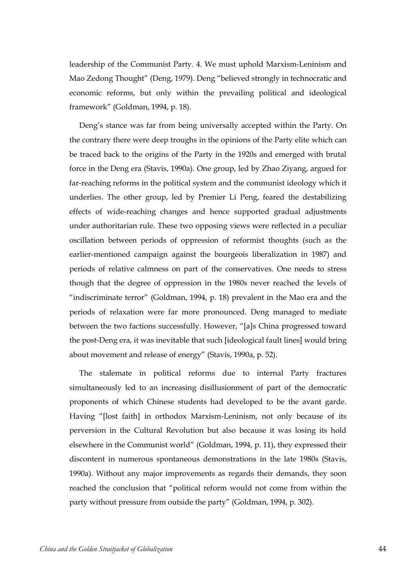leadership of the Communist Party. 4. We must uphold Marxism-Leninism and Mao Zedong Thought" (Deng, 1979). Deng "believed strongly in technocratic and economic reforms, but only within the prevailing political and ideological framework" (Goldman, 1994, p. 18).

Deng's stance was far from being universally accepted within the Party. On the contrary there were deep troughs in the opinions of the Party elite which can be traced back to the origins of the Party in the 1920s and emerged with brutal force in the Deng era (Stavis, 1990a). One group, led by Zhao Ziyang, argued for far-reaching reforms in the political system and the communist ideology which it underlies. The other group, led by Premier Li Peng, feared the destabilizing effects of wide-reaching changes and hence supported gradual adjustments under authoritarian rule. These two opposing views were reflected in a peculiar oscillation between periods of oppression of reformist thoughts (such as the earlier-mentioned campaign against the bourgeois liberalization in 1987) and periods of relative calmness on part of the conservatives. One needs to stress though that the degree of oppression in the 1980s never reached the levels of "indiscriminate terror" (Goldman, 1994, p. 18) prevalent in the Mao era and the periods of relaxation were far more pronounced. Deng managed to mediate between the two factions successfully. However, "[a]s China progressed toward the post-Deng era, it was inevitable that such [ideological fault lines] would bring about movement and release of energy" (Stavis, 1990a, p. 52).

The stalemate in political reforms due to internal Party fractures simultaneously led to an increasing disillusionment of part of the democratic proponents of which Chinese students had developed to be the avant garde. Having "[lost faith] in orthodox Marxism-Leninism, not only because of its perversion in the Cultural Revolution but also because it was losing its hold elsewhere in the Communist world" (Goldman, 1994, p. 11), they expressed their discontent in numerous spontaneous demonstrations in the late 1980s (Stavis, 1990a). Without any major improvements as regards their demands, they soon reached the conclusion that "political reform would not come from within the party without pressure from outside the party" (Goldman, 1994, p. 302).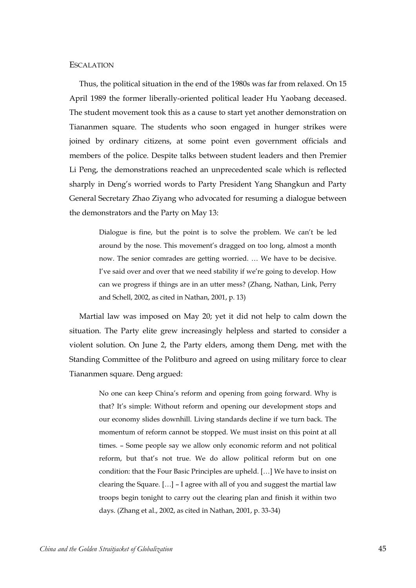## **ESCALATION**

Thus, the political situation in the end of the 1980s was far from relaxed. On 15 April 1989 the former liberally-oriented political leader Hu Yaobang deceased. The student movement took this as a cause to start yet another demonstration on Tiananmen square. The students who soon engaged in hunger strikes were joined by ordinary citizens, at some point even government officials and members of the police. Despite talks between student leaders and then Premier Li Peng, the demonstrations reached an unprecedented scale which is reflected sharply in Deng's worried words to Party President Yang Shangkun and Party General Secretary Zhao Ziyang who advocated for resuming a dialogue between the demonstrators and the Party on May 13:

> Dialogue is fine, but the point is to solve the problem. We can't be led around by the nose. This movement's dragged on too long, almost a month now. The senior comrades are getting worried. … We have to be decisive. I've said over and over that we need stability if we're going to develop. How can we progress if things are in an utter mess? (Zhang, Nathan, Link, Perry and Schell, 2002, as cited in Nathan, 2001, p. 13)

Martial law was imposed on May 20; yet it did not help to calm down the situation. The Party elite grew increasingly helpless and started to consider a violent solution. On June 2, the Party elders, among them Deng, met with the Standing Committee of the Politburo and agreed on using military force to clear Tiananmen square. Deng argued:

> No one can keep China's reform and opening from going forward. Why is that? It's simple: Without reform and opening our development stops and our economy slides downhill. Living standards decline if we turn back. The momentum of reform cannot be stopped. We must insist on this point at all times. – Some people say we allow only economic reform and not political reform, but that's not true. We do allow political reform but on one condition: that the Four Basic Principles are upheld. […] We have to insist on clearing the Square. […] – I agree with all of you and suggest the martial law troops begin tonight to carry out the clearing plan and finish it within two days. (Zhang et al., 2002, as cited in Nathan, 2001, p. 33-34)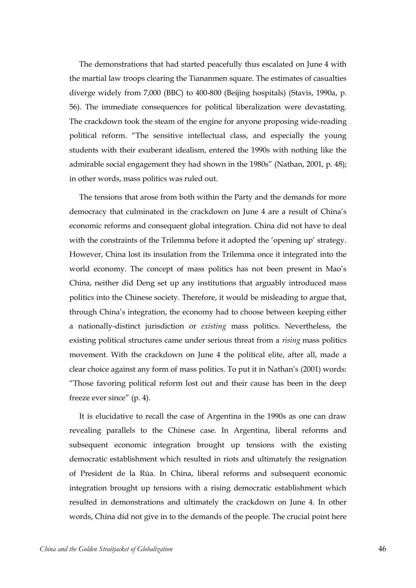The demonstrations that had started peacefully thus escalated on June 4 with the martial law troops clearing the Tiananmen square. The estimates of casualties diverge widely from 7,000 (BBC) to 400-800 (Beijing hospitals) (Stavis, 1990a, p. 56). The immediate consequences for political liberalization were devastating. The crackdown took the steam of the engine for anyone proposing wide-reading political reform. "The sensitive intellectual class, and especially the young students with their exuberant idealism, entered the 1990s with nothing like the admirable social engagement they had shown in the 1980s" (Nathan, 2001, p. 48); in other words, mass politics was ruled out.

The tensions that arose from both within the Party and the demands for more democracy that culminated in the crackdown on June 4 are a result of China's economic reforms and consequent global integration. China did not have to deal with the constraints of the Trilemma before it adopted the 'opening up' strategy. However, China lost its insulation from the Trilemma once it integrated into the world economy. The concept of mass politics has not been present in Mao's China, neither did Deng set up any institutions that arguably introduced mass politics into the Chinese society. Therefore, it would be misleading to argue that, through China's integration, the economy had to choose between keeping either a nationally-distinct jurisdiction or *existing* mass politics. Nevertheless, the existing political structures came under serious threat from a *rising* mass politics movement. With the crackdown on June 4 the political elite, after all, made a clear choice against any form of mass politics. To put it in Nathan's (2001) words: "Those favoring political reform lost out and their cause has been in the deep freeze ever since" (p. 4).

It is elucidative to recall the case of Argentina in the 1990s as one can draw revealing parallels to the Chinese case. In Argentina, liberal reforms and subsequent economic integration brought up tensions with the existing democratic establishment which resulted in riots and ultimately the resignation of President de la Rúa. In China, liberal reforms and subsequent economic integration brought up tensions with a rising democratic establishment which resulted in demonstrations and ultimately the crackdown on June 4. In other words, China did not give in to the demands of the people. The crucial point here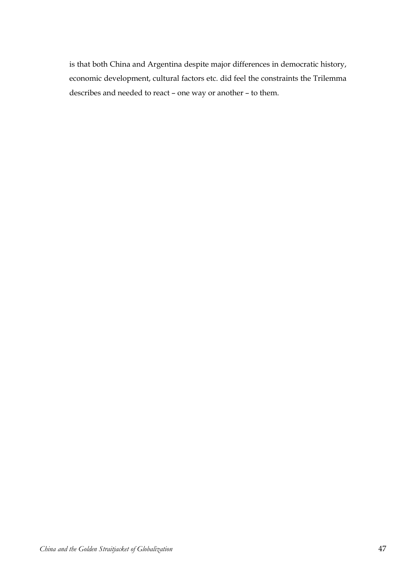is that both China and Argentina despite major differences in democratic history, economic development, cultural factors etc. did feel the constraints the Trilemma describes and needed to react – one way or another – to them.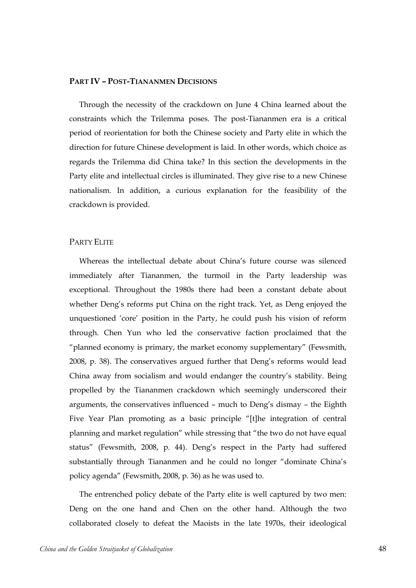# **PART IV – POST-TIANANMEN DECISIONS**

Through the necessity of the crackdown on June 4 China learned about the constraints which the Trilemma poses. The post-Tiananmen era is a critical period of reorientation for both the Chinese society and Party elite in which the direction for future Chinese development is laid. In other words, which choice as regards the Trilemma did China take? In this section the developments in the Party elite and intellectual circles is illuminated. They give rise to a new Chinese nationalism. In addition, a curious explanation for the feasibility of the crackdown is provided.

# PARTY ELITE

Whereas the intellectual debate about China's future course was silenced immediately after Tiananmen, the turmoil in the Party leadership was exceptional. Throughout the 1980s there had been a constant debate about whether Deng's reforms put China on the right track. Yet, as Deng enjoyed the unquestioned 'core' position in the Party, he could push his vision of reform through. Chen Yun who led the conservative faction proclaimed that the "planned economy is primary, the market economy supplementary" (Fewsmith, 2008, p. 38). The conservatives argued further that Deng's reforms would lead China away from socialism and would endanger the country's stability. Being propelled by the Tiananmen crackdown which seemingly underscored their arguments, the conservatives influenced – much to Deng's dismay – the Eighth Five Year Plan promoting as a basic principle "[t]he integration of central planning and market regulation" while stressing that "the two do not have equal status" (Fewsmith, 2008, p. 44). Deng's respect in the Party had suffered substantially through Tiananmen and he could no longer "dominate China's policy agenda" (Fewsmith, 2008, p. 36) as he was used to.

The entrenched policy debate of the Party elite is well captured by two men: Deng on the one hand and Chen on the other hand. Although the two collaborated closely to defeat the Maoists in the late 1970s, their ideological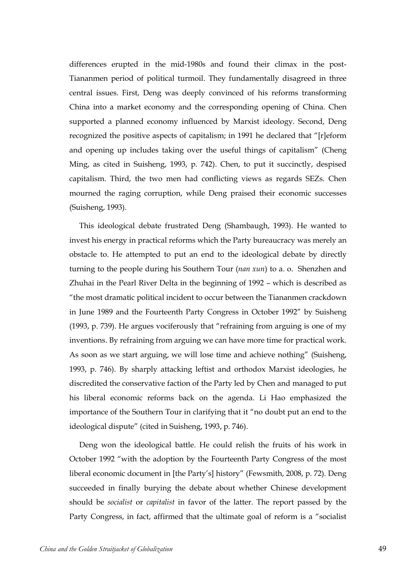differences erupted in the mid-1980s and found their climax in the post-Tiananmen period of political turmoil. They fundamentally disagreed in three central issues. First, Deng was deeply convinced of his reforms transforming China into a market economy and the corresponding opening of China. Chen supported a planned economy influenced by Marxist ideology. Second, Deng recognized the positive aspects of capitalism; in 1991 he declared that "[r]eform and opening up includes taking over the useful things of capitalism" (Cheng Ming, as cited in Suisheng, 1993, p. 742). Chen, to put it succinctly, despised capitalism. Third, the two men had conflicting views as regards SEZs. Chen mourned the raging corruption, while Deng praised their economic successes (Suisheng, 1993).

This ideological debate frustrated Deng (Shambaugh, 1993). He wanted to invest his energy in practical reforms which the Party bureaucracy was merely an obstacle to. He attempted to put an end to the ideological debate by directly turning to the people during his Southern Tour (*nan xun*) to a. o. Shenzhen and Zhuhai in the Pearl River Delta in the beginning of 1992 – which is described as "the most dramatic political incident to occur between the Tiananmen crackdown in June 1989 and the Fourteenth Party Congress in October 1992" by Suisheng (1993, p. 739). He argues vociferously that "refraining from arguing is one of my inventions. By refraining from arguing we can have more time for practical work. As soon as we start arguing, we will lose time and achieve nothing" (Suisheng, 1993, p. 746). By sharply attacking leftist and orthodox Marxist ideologies, he discredited the conservative faction of the Party led by Chen and managed to put his liberal economic reforms back on the agenda. Li Hao emphasized the importance of the Southern Tour in clarifying that it "no doubt put an end to the ideological dispute" (cited in Suisheng, 1993, p. 746).

Deng won the ideological battle. He could relish the fruits of his work in October 1992 "with the adoption by the Fourteenth Party Congress of the most liberal economic document in [the Party's] history" (Fewsmith, 2008, p. 72). Deng succeeded in finally burying the debate about whether Chinese development should be *socialist* or *capitalist* in favor of the latter. The report passed by the Party Congress, in fact, affirmed that the ultimate goal of reform is a "socialist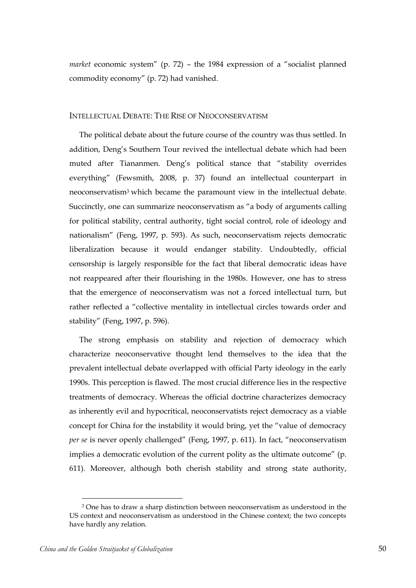*market* economic system" (p. 72) – the 1984 expression of a "socialist planned commodity economy" (p. 72) had vanished.

## INTELLECTUAL DEBATE: THE RISE OF NEOCONSERVATISM

The political debate about the future course of the country was thus settled. In addition, Deng's Southern Tour revived the intellectual debate which had been muted after Tiananmen. Deng's political stance that "stability overrides everything" (Fewsmith, 2008, p. 37) found an intellectual counterpart in neoconservatism<sup>3</sup> which became the paramount view in the intellectual debate. Succinctly, one can summarize neoconservatism as "a body of arguments calling for political stability, central authority, tight social control, role of ideology and nationalism" (Feng, 1997, p. 593). As such, neoconservatism rejects democratic liberalization because it would endanger stability. Undoubtedly, official censorship is largely responsible for the fact that liberal democratic ideas have not reappeared after their flourishing in the 1980s. However, one has to stress that the emergence of neoconservatism was not a forced intellectual turn, but rather reflected a "collective mentality in intellectual circles towards order and stability" (Feng, 1997, p. 596).

The strong emphasis on stability and rejection of democracy which characterize neoconservative thought lend themselves to the idea that the prevalent intellectual debate overlapped with official Party ideology in the early 1990s. This perception is flawed. The most crucial difference lies in the respective treatments of democracy. Whereas the official doctrine characterizes democracy as inherently evil and hypocritical, neoconservatists reject democracy as a viable concept for China for the instability it would bring, yet the "value of democracy *per se* is never openly challenged" (Feng, 1997, p. 611). In fact, "neoconservatism implies a democratic evolution of the current polity as the ultimate outcome" (p. 611). Moreover, although both cherish stability and strong state authority,

 $\overline{a}$ 

<sup>3</sup> One has to draw a sharp distinction between neoconservatism as understood in the US context and neoconservatism as understood in the Chinese context; the two concepts have hardly any relation.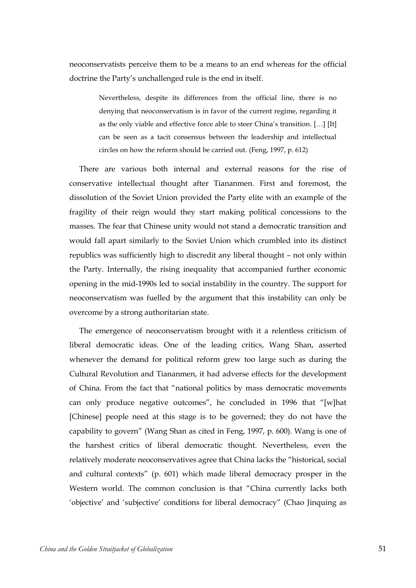neoconservatists perceive them to be a means to an end whereas for the official doctrine the Party's unchallenged rule is the end in itself.

> Nevertheless, despite its differences from the official line, there is no denying that neoconservatism is in favor of the current regime, regarding it as the only viable and effective force able to steer China's transition. […] [It] can be seen as a tacit consensus between the leadership and intellectual circles on how the reform should be carried out. (Feng, 1997, p. 612)

There are various both internal and external reasons for the rise of conservative intellectual thought after Tiananmen. First and foremost, the dissolution of the Soviet Union provided the Party elite with an example of the fragility of their reign would they start making political concessions to the masses. The fear that Chinese unity would not stand a democratic transition and would fall apart similarly to the Soviet Union which crumbled into its distinct republics was sufficiently high to discredit any liberal thought – not only within the Party. Internally, the rising inequality that accompanied further economic opening in the mid-1990s led to social instability in the country. The support for neoconservatism was fuelled by the argument that this instability can only be overcome by a strong authoritarian state.

The emergence of neoconservatism brought with it a relentless criticism of liberal democratic ideas. One of the leading critics, Wang Shan, asserted whenever the demand for political reform grew too large such as during the Cultural Revolution and Tiananmen, it had adverse effects for the development of China. From the fact that "national politics by mass democratic movements can only produce negative outcomes", he concluded in 1996 that "[w]hat [Chinese] people need at this stage is to be governed; they do not have the capability to govern" (Wang Shan as cited in Feng, 1997, p. 600). Wang is one of the harshest critics of liberal democratic thought. Nevertheless, even the relatively moderate neoconservatives agree that China lacks the "historical, social and cultural contexts" (p. 601) which made liberal democracy prosper in the Western world. The common conclusion is that "China currently lacks both 'objective' and 'subjective' conditions for liberal democracy" (Chao Jinquing as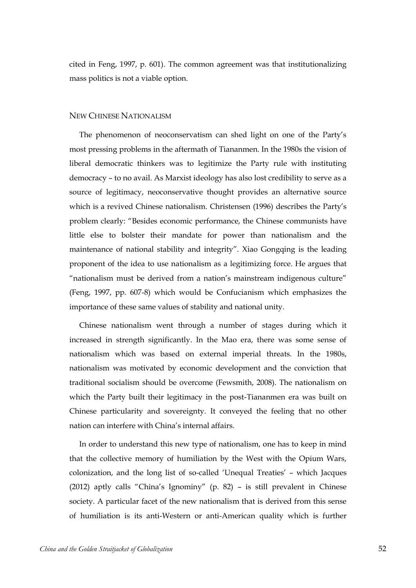cited in Feng, 1997, p. 601). The common agreement was that institutionalizing mass politics is not a viable option.

#### NEW CHINESE NATIONALISM

The phenomenon of neoconservatism can shed light on one of the Party's most pressing problems in the aftermath of Tiananmen. In the 1980s the vision of liberal democratic thinkers was to legitimize the Party rule with instituting democracy – to no avail. As Marxist ideology has also lost credibility to serve as a source of legitimacy, neoconservative thought provides an alternative source which is a revived Chinese nationalism. Christensen (1996) describes the Party's problem clearly: "Besides economic performance, the Chinese communists have little else to bolster their mandate for power than nationalism and the maintenance of national stability and integrity". Xiao Gongqing is the leading proponent of the idea to use nationalism as a legitimizing force. He argues that "nationalism must be derived from a nation's mainstream indigenous culture" (Feng, 1997, pp. 607-8) which would be Confucianism which emphasizes the importance of these same values of stability and national unity.

Chinese nationalism went through a number of stages during which it increased in strength significantly. In the Mao era, there was some sense of nationalism which was based on external imperial threats. In the 1980s, nationalism was motivated by economic development and the conviction that traditional socialism should be overcome (Fewsmith, 2008). The nationalism on which the Party built their legitimacy in the post-Tiananmen era was built on Chinese particularity and sovereignty. It conveyed the feeling that no other nation can interfere with China's internal affairs.

In order to understand this new type of nationalism, one has to keep in mind that the collective memory of humiliation by the West with the Opium Wars, colonization, and the long list of so-called 'Unequal Treaties' – which Jacques (2012) aptly calls "China's Ignominy" (p. 82) – is still prevalent in Chinese society. A particular facet of the new nationalism that is derived from this sense of humiliation is its anti-Western or anti-American quality which is further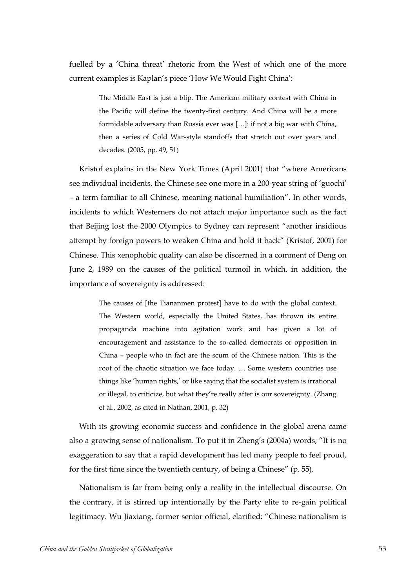fuelled by a 'China threat' rhetoric from the West of which one of the more current examples is Kaplan's piece 'How We Would Fight China':

> The Middle East is just a blip. The American military contest with China in the Pacific will define the twenty-first century. And China will be a more formidable adversary than Russia ever was […]: if not a big war with China, then a series of Cold War-style standoffs that stretch out over years and decades. (2005, pp. 49, 51)

Kristof explains in the New York Times (April 2001) that "where Americans see individual incidents, the Chinese see one more in a 200-year string of 'guochi' – a term familiar to all Chinese, meaning national humiliation". In other words, incidents to which Westerners do not attach major importance such as the fact that Beijing lost the 2000 Olympics to Sydney can represent "another insidious attempt by foreign powers to weaken China and hold it back" (Kristof, 2001) for Chinese. This xenophobic quality can also be discerned in a comment of Deng on June 2, 1989 on the causes of the political turmoil in which, in addition, the importance of sovereignty is addressed:

> The causes of [the Tiananmen protest] have to do with the global context. The Western world, especially the United States, has thrown its entire propaganda machine into agitation work and has given a lot of encouragement and assistance to the so-called democrats or opposition in China – people who in fact are the scum of the Chinese nation. This is the root of the chaotic situation we face today. … Some western countries use things like 'human rights,' or like saying that the socialist system is irrational or illegal, to criticize, but what they're really after is our sovereignty. (Zhang et al., 2002, as cited in Nathan, 2001, p. 32)

With its growing economic success and confidence in the global arena came also a growing sense of nationalism. To put it in Zheng's (2004a) words, "It is no exaggeration to say that a rapid development has led many people to feel proud, for the first time since the twentieth century, of being a Chinese" (p. 55).

Nationalism is far from being only a reality in the intellectual discourse. On the contrary, it is stirred up intentionally by the Party elite to re-gain political legitimacy. Wu Jiaxiang, former senior official, clarified: "Chinese nationalism is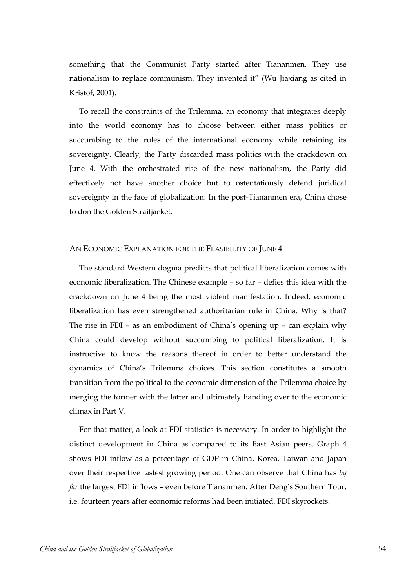something that the Communist Party started after Tiananmen. They use nationalism to replace communism. They invented it" (Wu Jiaxiang as cited in Kristof, 2001).

To recall the constraints of the Trilemma, an economy that integrates deeply into the world economy has to choose between either mass politics or succumbing to the rules of the international economy while retaining its sovereignty. Clearly, the Party discarded mass politics with the crackdown on June 4. With the orchestrated rise of the new nationalism, the Party did effectively not have another choice but to ostentatiously defend juridical sovereignty in the face of globalization. In the post-Tiananmen era, China chose to don the Golden Straitjacket.

#### AN ECONOMIC EXPLANATION FOR THE FEASIBILITY OF JUNE 4

The standard Western dogma predicts that political liberalization comes with economic liberalization. The Chinese example – so far – defies this idea with the crackdown on June 4 being the most violent manifestation. Indeed, economic liberalization has even strengthened authoritarian rule in China. Why is that? The rise in FDI – as an embodiment of China's opening up – can explain why China could develop without succumbing to political liberalization. It is instructive to know the reasons thereof in order to better understand the dynamics of China's Trilemma choices. This section constitutes a smooth transition from the political to the economic dimension of the Trilemma choice by merging the former with the latter and ultimately handing over to the economic climax in Part V.

For that matter, a look at FDI statistics is necessary. In order to highlight the distinct development in China as compared to its East Asian peers. Graph 4 shows FDI inflow as a percentage of GDP in China, Korea, Taiwan and Japan over their respective fastest growing period. One can observe that China has *by far* the largest FDI inflows – even before Tiananmen. After Deng's Southern Tour, i.e. fourteen years after economic reforms had been initiated, FDI skyrockets.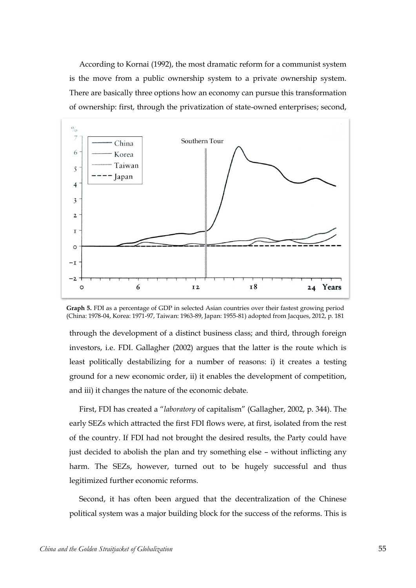According to Kornai (1992), the most dramatic reform for a communist system is the move from a public ownership system to a private ownership system. There are basically three options how an economy can pursue this transformation of ownership: first, through the privatization of state-owned enterprises; second,



**Graph 5.** FDI as a percentage of GDP in selected Asian countries over their fastest growing period (China: 1978-04, Korea: 1971-97, Taiwan: 1963-89, Japan: 1955-81) adopted from Jacques, 2012, p. 181

through the development of a distinct business class; and third, through foreign investors, i.e. FDI. Gallagher (2002) argues that the latter is the route which is least politically destabilizing for a number of reasons: i) it creates a testing ground for a new economic order, ii) it enables the development of competition, and iii) it changes the nature of the economic debate.

First, FDI has created a "*laboratory* of capitalism" (Gallagher, 2002, p. 344). The early SEZs which attracted the first FDI flows were, at first, isolated from the rest of the country. If FDI had not brought the desired results, the Party could have just decided to abolish the plan and try something else – without inflicting any harm. The SEZs, however, turned out to be hugely successful and thus legitimized further economic reforms.

Second, it has often been argued that the decentralization of the Chinese political system was a major building block for the success of the reforms. This is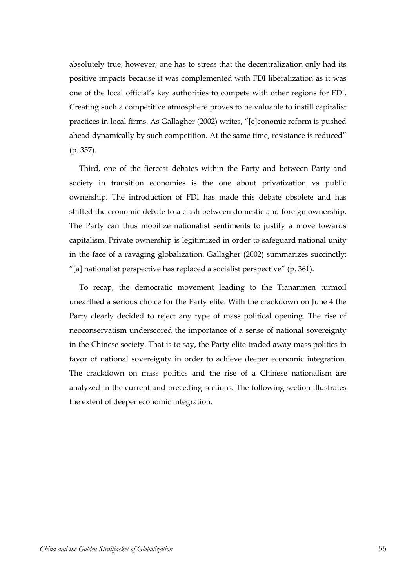absolutely true; however, one has to stress that the decentralization only had its positive impacts because it was complemented with FDI liberalization as it was one of the local official's key authorities to compete with other regions for FDI. Creating such a competitive atmosphere proves to be valuable to instill capitalist practices in local firms. As Gallagher (2002) writes, "[e]conomic reform is pushed ahead dynamically by such competition. At the same time, resistance is reduced" (p. 357).

Third, one of the fiercest debates within the Party and between Party and society in transition economies is the one about privatization vs public ownership. The introduction of FDI has made this debate obsolete and has shifted the economic debate to a clash between domestic and foreign ownership. The Party can thus mobilize nationalist sentiments to justify a move towards capitalism. Private ownership is legitimized in order to safeguard national unity in the face of a ravaging globalization. Gallagher (2002) summarizes succinctly: "[a] nationalist perspective has replaced a socialist perspective" (p. 361).

To recap, the democratic movement leading to the Tiananmen turmoil unearthed a serious choice for the Party elite. With the crackdown on June 4 the Party clearly decided to reject any type of mass political opening. The rise of neoconservatism underscored the importance of a sense of national sovereignty in the Chinese society. That is to say, the Party elite traded away mass politics in favor of national sovereignty in order to achieve deeper economic integration. The crackdown on mass politics and the rise of a Chinese nationalism are analyzed in the current and preceding sections. The following section illustrates the extent of deeper economic integration.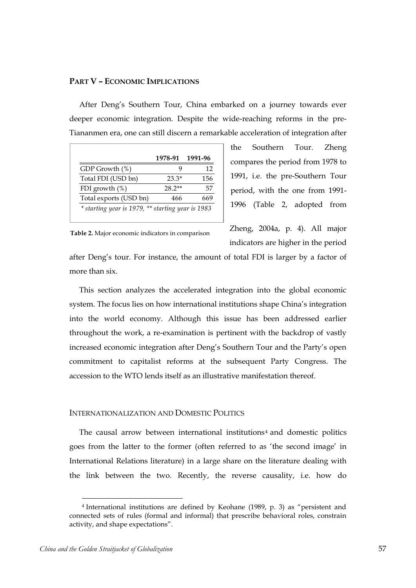# **PART V – ECONOMIC IMPLICATIONS**

After Deng's Southern Tour, China embarked on a journey towards ever deeper economic integration. Despite the wide-reaching reforms in the pre-Tiananmen era, one can still discern a remarkable acceleration of integration after

|                                                   | 1978-91  | 1991-96 |
|---------------------------------------------------|----------|---------|
| GDP Growth (%)                                    |          | 12      |
| Total FDI (USD bn)                                | 23.3*    | 156     |
| FDI growth $(\%)$                                 | $28.2**$ | 57      |
| Total exports (USD bn)                            | 466      | 669     |
| * starting year is 1979, ** starting year is 1983 |          |         |

the Southern Tour. Zheng compares the period from 1978 to 1991, i.e. the pre-Southern Tour period, with the one from 1991- 1996 (Table 2, adopted from

**Table 2.** Major economic indicators in comparison

Zheng, 2004a, p. 4). All major indicators are higher in the period

after Deng's tour. For instance, the amount of total FDI is larger by a factor of more than six.

**China and the Golden Strait of Golden Straiter (Strait Follow)**  $\frac{1978.91}{180}$  **[1991-122 <b>1191-91 China Broath China and Strait properties** (China Broath China and Straiter of Globalization 1991-126 **1991-91 1991-1** This section analyzes the accelerated integration into the global economic system. The focus lies on how international institutions shape China's integration into the world economy. Although this issue has been addressed earlier throughout the work, a re-examination is pertinent with the backdrop of vastly increased economic integration after Deng's Southern Tour and the Party's open commitment to capitalist reforms at the subsequent Party Congress. The accession to the WTO lends itself as an illustrative manifestation thereof.

## INTERNATIONALIZATION AND DOMESTIC POLITICS

The causal arrow between international institutions<sup>4</sup> and domestic politics goes from the latter to the former (often referred to as 'the second image' in International Relations literature) in a large share on the literature dealing with the link between the two. Recently, the reverse causality, i.e. how do

 $\overline{a}$ 

<sup>4</sup> International institutions are defined by Keohane (1989, p. 3) as "persistent and connected sets of rules (formal and informal) that prescribe behavioral roles, constrain activity, and shape expectations".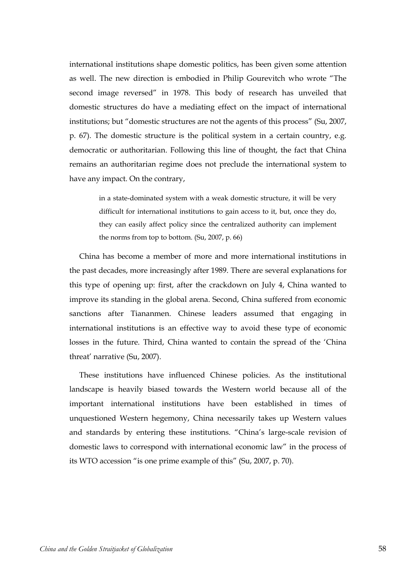international institutions shape domestic politics, has been given some attention as well. The new direction is embodied in Philip Gourevitch who wrote "The second image reversed" in 1978. This body of research has unveiled that domestic structures do have a mediating effect on the impact of international institutions; but "domestic structures are not the agents of this process" (Su, 2007, p. 67). The domestic structure is the political system in a certain country, e.g. democratic or authoritarian. Following this line of thought, the fact that China remains an authoritarian regime does not preclude the international system to have any impact. On the contrary,

> in a state-dominated system with a weak domestic structure, it will be very difficult for international institutions to gain access to it, but, once they do, they can easily affect policy since the centralized authority can implement the norms from top to bottom. (Su, 2007, p. 66)

China has become a member of more and more international institutions in the past decades, more increasingly after 1989. There are several explanations for this type of opening up: first, after the crackdown on July 4, China wanted to improve its standing in the global arena. Second, China suffered from economic sanctions after Tiananmen. Chinese leaders assumed that engaging in international institutions is an effective way to avoid these type of economic losses in the future. Third, China wanted to contain the spread of the 'China threat' narrative (Su, 2007).

These institutions have influenced Chinese policies. As the institutional landscape is heavily biased towards the Western world because all of the important international institutions have been established in times of unquestioned Western hegemony, China necessarily takes up Western values and standards by entering these institutions. "China's large-scale revision of domestic laws to correspond with international economic law" in the process of its WTO accession "is one prime example of this" (Su, 2007, p. 70).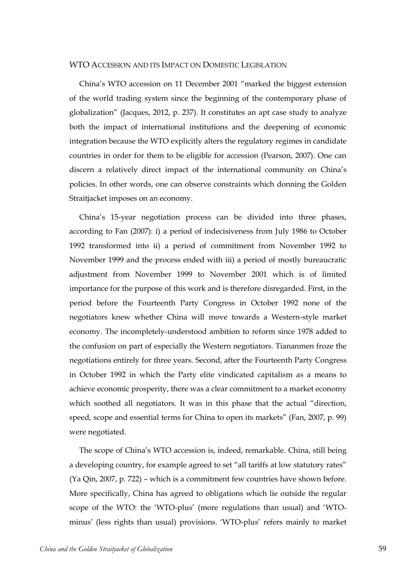## WTO ACCESSION AND ITS IMPACT ON DOMESTIC LEGISLATION

China's WTO accession on 11 December 2001 "marked the biggest extension of the world trading system since the beginning of the contemporary phase of globalization" (Jacques, 2012, p. 237). It constitutes an apt case study to analyze both the impact of international institutions and the deepening of economic integration because the WTO explicitly alters the regulatory regimes in candidate countries in order for them to be eligible for accession (Pearson, 2007). One can discern a relatively direct impact of the international community on China's policies. In other words, one can observe constraints which donning the Golden Straitjacket imposes on an economy.

China's 15-year negotiation process can be divided into three phases, according to Fan (2007): i) a period of indecisiveness from July 1986 to October 1992 transformed into ii) a period of commitment from November 1992 to November 1999 and the process ended with iii) a period of mostly bureaucratic adjustment from November 1999 to November 2001 which is of limited importance for the purpose of this work and is therefore disregarded. First, in the period before the Fourteenth Party Congress in October 1992 none of the negotiators knew whether China will move towards a Western-style market economy. The incompletely-understood ambition to reform since 1978 added to the confusion on part of especially the Western negotiators. Tiananmen froze the negotiations entirely for three years. Second, after the Fourteenth Party Congress in October 1992 in which the Party elite vindicated capitalism as a means to achieve economic prosperity, there was a clear commitment to a market economy which soothed all negotiators. It was in this phase that the actual "direction, speed, scope and essential terms for China to open its markets" (Fan, 2007, p. 99) were negotiated.

The scope of China's WTO accession is, indeed, remarkable. China, still being a developing country, for example agreed to set "all tariffs at low statutory rates" (Ya Qin, 2007, p. 722) – which is a commitment few countries have shown before. More specifically, China has agreed to obligations which lie outside the regular scope of the WTO: the 'WTO-plus' (more regulations than usual) and 'WTOminus' (less rights than usual) provisions. 'WTO-plus' refers mainly to market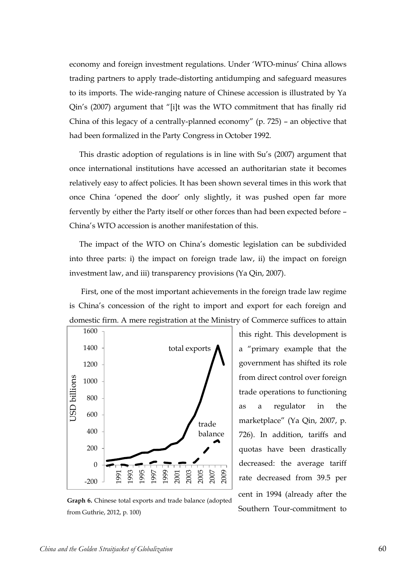economy and foreign investment regulations. Under 'WTO-minus' China allows trading partners to apply trade-distorting antidumping and safeguard measures to its imports. The wide-ranging nature of Chinese accession is illustrated by Ya Qin's (2007) argument that "[i]t was the WTO commitment that has finally rid China of this legacy of a centrally-planned economy" (p. 725) – an objective that had been formalized in the Party Congress in October 1992.

This drastic adoption of regulations is in line with Su's (2007) argument that once international institutions have accessed an authoritarian state it becomes relatively easy to affect policies. It has been shown several times in this work that once China 'opened the door' only slightly, it was pushed open far more fervently by either the Party itself or other forces than had been expected before – China's WTO accession is another manifestation of this.

The impact of the WTO on China's domestic legislation can be subdivided into three parts: i) the impact on foreign trade law, ii) the impact on foreign investment law, and iii) transparency provisions (Ya Qin, 2007).

First, one of the most important achievements in the foreign trade law regime is China's concession of the right to import and export for each foreign and domestic firm. A mere registration at the Ministry of Commerce suffices to attain



from direct control over foreign trade operations to functioning as a regulator in the marketplace" (Ya Qin, 2007, p. 726). In addition, tariffs and quotas have been drastically decreased: the average tariff rate decreased from 39.5 per cent in 1994 (already after the Southern Tour-commitment to

this right. This development is

a "primary example that the

government has shifted its role

**Graph 6.** Chinese total exports and trade balance (adopted from Guthrie, 2012, p. 100)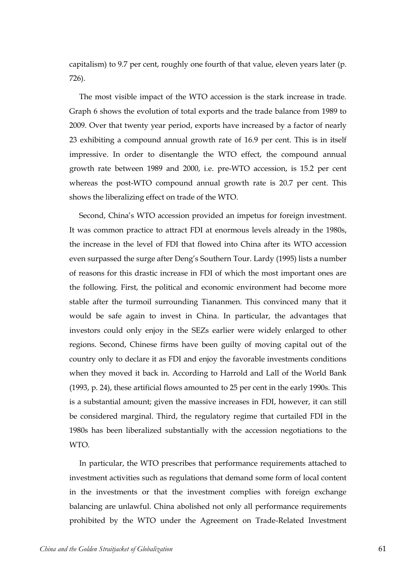capitalism) to 9.7 per cent, roughly one fourth of that value, eleven years later (p. 726).

The most visible impact of the WTO accession is the stark increase in trade. Graph 6 shows the evolution of total exports and the trade balance from 1989 to 2009. Over that twenty year period, exports have increased by a factor of nearly 23 exhibiting a compound annual growth rate of 16.9 per cent. This is in itself impressive. In order to disentangle the WTO effect, the compound annual growth rate between 1989 and 2000, i.e. pre-WTO accession, is 15.2 per cent whereas the post-WTO compound annual growth rate is 20.7 per cent. This shows the liberalizing effect on trade of the WTO.

Second, China's WTO accession provided an impetus for foreign investment. It was common practice to attract FDI at enormous levels already in the 1980s, the increase in the level of FDI that flowed into China after its WTO accession even surpassed the surge after Deng's Southern Tour. Lardy (1995) lists a number of reasons for this drastic increase in FDI of which the most important ones are the following. First, the political and economic environment had become more stable after the turmoil surrounding Tiananmen. This convinced many that it would be safe again to invest in China. In particular, the advantages that investors could only enjoy in the SEZs earlier were widely enlarged to other regions. Second, Chinese firms have been guilty of moving capital out of the country only to declare it as FDI and enjoy the favorable investments conditions when they moved it back in. According to Harrold and Lall of the World Bank (1993, p. 24), these artificial flows amounted to 25 per cent in the early 1990s. This is a substantial amount; given the massive increases in FDI, however, it can still be considered marginal. Third, the regulatory regime that curtailed FDI in the 1980s has been liberalized substantially with the accession negotiations to the WTO.

In particular, the WTO prescribes that performance requirements attached to investment activities such as regulations that demand some form of local content in the investments or that the investment complies with foreign exchange balancing are unlawful. China abolished not only all performance requirements prohibited by the WTO under the Agreement on Trade-Related Investment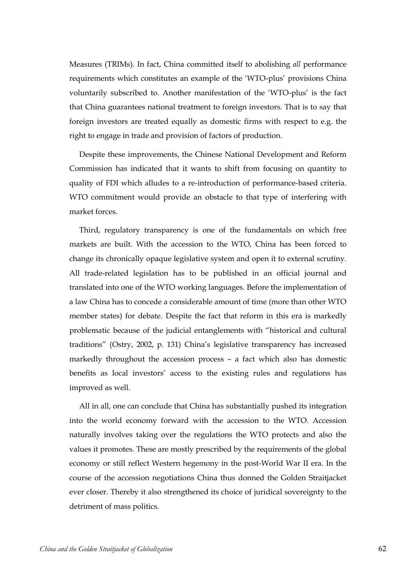Measures (TRIMs). In fact, China committed itself to abolishing *all* performance requirements which constitutes an example of the 'WTO-plus' provisions China voluntarily subscribed to. Another manifestation of the 'WTO-plus' is the fact that China guarantees national treatment to foreign investors. That is to say that foreign investors are treated equally as domestic firms with respect to e.g. the right to engage in trade and provision of factors of production.

Despite these improvements, the Chinese National Development and Reform Commission has indicated that it wants to shift from focusing on quantity to quality of FDI which alludes to a re-introduction of performance-based criteria. WTO commitment would provide an obstacle to that type of interfering with market forces.

Third, regulatory transparency is one of the fundamentals on which free markets are built. With the accession to the WTO, China has been forced to change its chronically opaque legislative system and open it to external scrutiny. All trade-related legislation has to be published in an official journal and translated into one of the WTO working languages. Before the implementation of a law China has to concede a considerable amount of time (more than other WTO member states) for debate. Despite the fact that reform in this era is markedly problematic because of the judicial entanglements with "historical and cultural traditions" (Ostry, 2002, p. 131) China's legislative transparency has increased markedly throughout the accession process – a fact which also has domestic benefits as local investors' access to the existing rules and regulations has improved as well.

All in all, one can conclude that China has substantially pushed its integration into the world economy forward with the accession to the WTO. Accession naturally involves taking over the regulations the WTO protects and also the values it promotes. These are mostly prescribed by the requirements of the global economy or still reflect Western hegemony in the post-World War II era. In the course of the accession negotiations China thus donned the Golden Straitjacket ever closer. Thereby it also strengthened its choice of juridical sovereignty to the detriment of mass politics.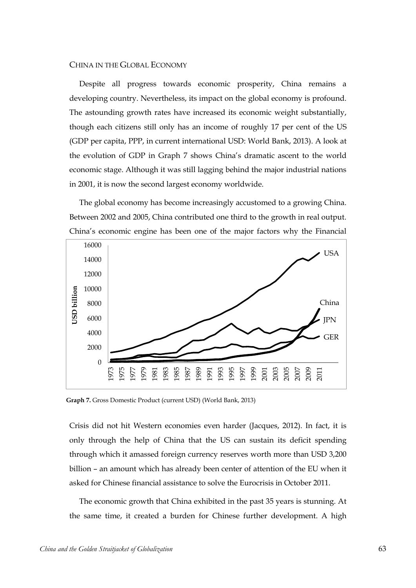## CHINA IN THE GLOBAL ECONOMY

Despite all progress towards economic prosperity, China remains a developing country. Nevertheless, its impact on the global economy is profound. The astounding growth rates have increased its economic weight substantially, though each citizens still only has an income of roughly 17 per cent of the US (GDP per capita, PPP, in current international USD: World Bank, 2013). A look at the evolution of GDP in Graph 7 shows China's dramatic ascent to the world economic stage. Although it was still lagging behind the major industrial nations in 2001, it is now the second largest economy worldwide.

The global economy has become increasingly accustomed to a growing China. Between 2002 and 2005, China contributed one third to the growth in real output. China's economic engine has been one of the major factors why the Financial



**Graph 7.** Gross Domestic Product (current USD) (World Bank, 2013)

Crisis did not hit Western economies even harder (Jacques, 2012). In fact, it is only through the help of China that the US can sustain its deficit spending through which it amassed foreign currency reserves worth more than USD 3,200 billion – an amount which has already been center of attention of the EU when it asked for Chinese financial assistance to solve the Eurocrisis in October 2011.

The economic growth that China exhibited in the past 35 years is stunning. At the same time, it created a burden for Chinese further development. A high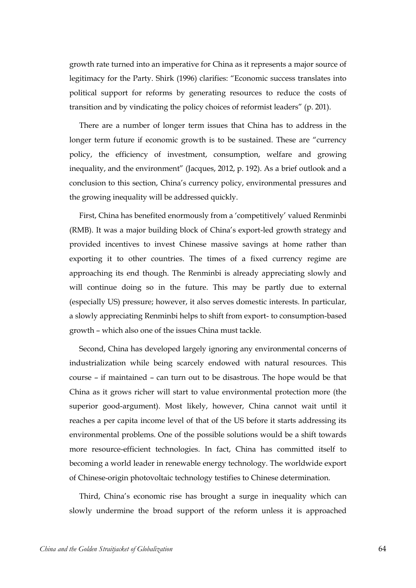growth rate turned into an imperative for China as it represents a major source of legitimacy for the Party. Shirk (1996) clarifies: "Economic success translates into political support for reforms by generating resources to reduce the costs of transition and by vindicating the policy choices of reformist leaders" (p. 201).

There are a number of longer term issues that China has to address in the longer term future if economic growth is to be sustained. These are "currency policy, the efficiency of investment, consumption, welfare and growing inequality, and the environment" (Jacques, 2012, p. 192). As a brief outlook and a conclusion to this section, China's currency policy, environmental pressures and the growing inequality will be addressed quickly.

First, China has benefited enormously from a 'competitively' valued Renminbi (RMB). It was a major building block of China's export-led growth strategy and provided incentives to invest Chinese massive savings at home rather than exporting it to other countries. The times of a fixed currency regime are approaching its end though. The Renminbi is already appreciating slowly and will continue doing so in the future. This may be partly due to external (especially US) pressure; however, it also serves domestic interests. In particular, a slowly appreciating Renminbi helps to shift from export- to consumption-based growth – which also one of the issues China must tackle.

Second, China has developed largely ignoring any environmental concerns of industrialization while being scarcely endowed with natural resources. This course – if maintained – can turn out to be disastrous. The hope would be that China as it grows richer will start to value environmental protection more (the superior good-argument). Most likely, however, China cannot wait until it reaches a per capita income level of that of the US before it starts addressing its environmental problems. One of the possible solutions would be a shift towards more resource-efficient technologies. In fact, China has committed itself to becoming a world leader in renewable energy technology. The worldwide export of Chinese-origin photovoltaic technology testifies to Chinese determination.

Third, China's economic rise has brought a surge in inequality which can slowly undermine the broad support of the reform unless it is approached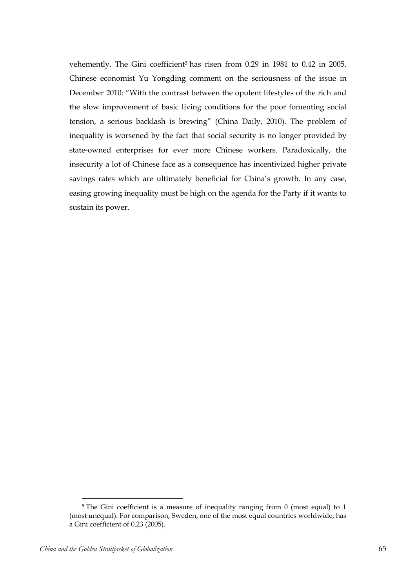vehemently. The Gini coefficient<sup>5</sup> has risen from 0.29 in 1981 to 0.42 in 2005. Chinese economist Yu Yongding comment on the seriousness of the issue in December 2010: "With the contrast between the opulent lifestyles of the rich and the slow improvement of basic living conditions for the poor fomenting social tension, a serious backlash is brewing" (China Daily, 2010). The problem of inequality is worsened by the fact that social security is no longer provided by state-owned enterprises for ever more Chinese workers. Paradoxically, the insecurity a lot of Chinese face as a consequence has incentivized higher private savings rates which are ultimately beneficial for China's growth. In any case, easing growing inequality must be high on the agenda for the Party if it wants to sustain its power.

 $\overline{a}$ 

<sup>&</sup>lt;sup>5</sup> The Gini coefficient is a measure of inequality ranging from 0 (most equal) to 1 (most unequal). For comparison, Sweden, one of the most equal countries worldwide, has a Gini coefficient of 0.23 (2005).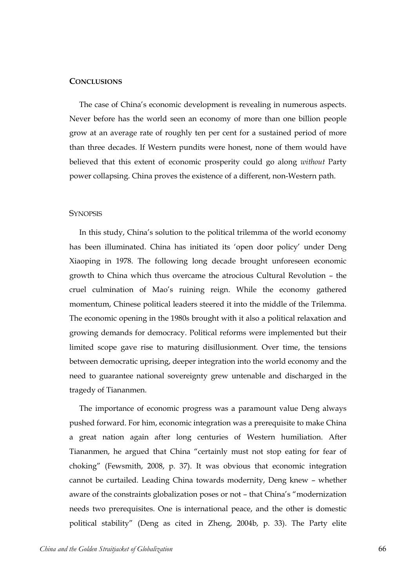# **CONCLUSIONS**

The case of China's economic development is revealing in numerous aspects. Never before has the world seen an economy of more than one billion people grow at an average rate of roughly ten per cent for a sustained period of more than three decades. If Western pundits were honest, none of them would have believed that this extent of economic prosperity could go along *without* Party power collapsing. China proves the existence of a different, non-Western path.

#### **SYNOPSIS**

In this study, China's solution to the political trilemma of the world economy has been illuminated. China has initiated its 'open door policy' under Deng Xiaoping in 1978. The following long decade brought unforeseen economic growth to China which thus overcame the atrocious Cultural Revolution – the cruel culmination of Mao's ruining reign. While the economy gathered momentum, Chinese political leaders steered it into the middle of the Trilemma. The economic opening in the 1980s brought with it also a political relaxation and growing demands for democracy. Political reforms were implemented but their limited scope gave rise to maturing disillusionment. Over time, the tensions between democratic uprising, deeper integration into the world economy and the need to guarantee national sovereignty grew untenable and discharged in the tragedy of Tiananmen.

The importance of economic progress was a paramount value Deng always pushed forward. For him, economic integration was a prerequisite to make China a great nation again after long centuries of Western humiliation. After Tiananmen, he argued that China "certainly must not stop eating for fear of choking" (Fewsmith, 2008, p. 37). It was obvious that economic integration cannot be curtailed. Leading China towards modernity, Deng knew – whether aware of the constraints globalization poses or not – that China's "modernization needs two prerequisites. One is international peace, and the other is domestic political stability" (Deng as cited in Zheng, 2004b, p. 33). The Party elite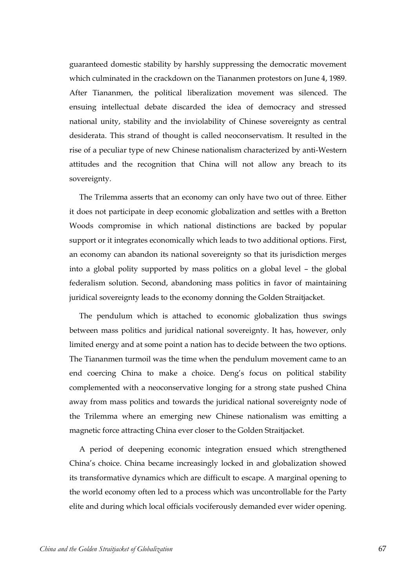guaranteed domestic stability by harshly suppressing the democratic movement which culminated in the crackdown on the Tiananmen protestors on June 4, 1989. After Tiananmen, the political liberalization movement was silenced. The ensuing intellectual debate discarded the idea of democracy and stressed national unity, stability and the inviolability of Chinese sovereignty as central desiderata. This strand of thought is called neoconservatism. It resulted in the rise of a peculiar type of new Chinese nationalism characterized by anti-Western attitudes and the recognition that China will not allow any breach to its sovereignty.

The Trilemma asserts that an economy can only have two out of three. Either it does not participate in deep economic globalization and settles with a Bretton Woods compromise in which national distinctions are backed by popular support or it integrates economically which leads to two additional options. First, an economy can abandon its national sovereignty so that its jurisdiction merges into a global polity supported by mass politics on a global level – the global federalism solution. Second, abandoning mass politics in favor of maintaining juridical sovereignty leads to the economy donning the Golden Straitjacket.

The pendulum which is attached to economic globalization thus swings between mass politics and juridical national sovereignty. It has, however, only limited energy and at some point a nation has to decide between the two options. The Tiananmen turmoil was the time when the pendulum movement came to an end coercing China to make a choice. Deng's focus on political stability complemented with a neoconservative longing for a strong state pushed China away from mass politics and towards the juridical national sovereignty node of the Trilemma where an emerging new Chinese nationalism was emitting a magnetic force attracting China ever closer to the Golden Straitjacket.

A period of deepening economic integration ensued which strengthened China's choice. China became increasingly locked in and globalization showed its transformative dynamics which are difficult to escape. A marginal opening to the world economy often led to a process which was uncontrollable for the Party elite and during which local officials vociferously demanded ever wider opening.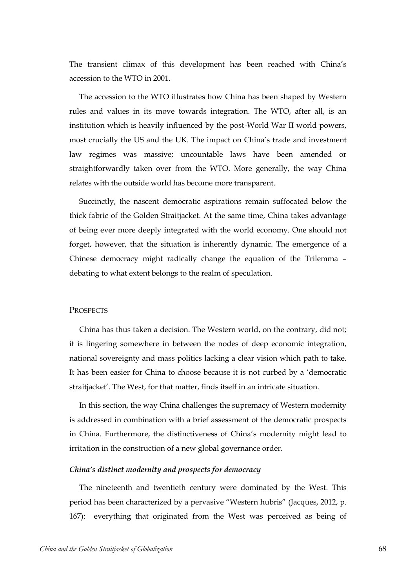The transient climax of this development has been reached with China's accession to the WTO in 2001.

The accession to the WTO illustrates how China has been shaped by Western rules and values in its move towards integration. The WTO, after all, is an institution which is heavily influenced by the post-World War II world powers, most crucially the US and the UK. The impact on China's trade and investment law regimes was massive; uncountable laws have been amended or straightforwardly taken over from the WTO. More generally, the way China relates with the outside world has become more transparent.

Succinctly, the nascent democratic aspirations remain suffocated below the thick fabric of the Golden Straitjacket. At the same time, China takes advantage of being ever more deeply integrated with the world economy. One should not forget, however, that the situation is inherently dynamic. The emergence of a Chinese democracy might radically change the equation of the Trilemma – debating to what extent belongs to the realm of speculation.

# **PROSPECTS**

China has thus taken a decision. The Western world, on the contrary, did not; it is lingering somewhere in between the nodes of deep economic integration, national sovereignty and mass politics lacking a clear vision which path to take. It has been easier for China to choose because it is not curbed by a 'democratic straitjacket'. The West, for that matter, finds itself in an intricate situation.

In this section, the way China challenges the supremacy of Western modernity is addressed in combination with a brief assessment of the democratic prospects in China. Furthermore, the distinctiveness of China's modernity might lead to irritation in the construction of a new global governance order.

#### *China's distinct modernity and prospects for democracy*

The nineteenth and twentieth century were dominated by the West. This period has been characterized by a pervasive "Western hubris" (Jacques, 2012, p. 167): everything that originated from the West was perceived as being of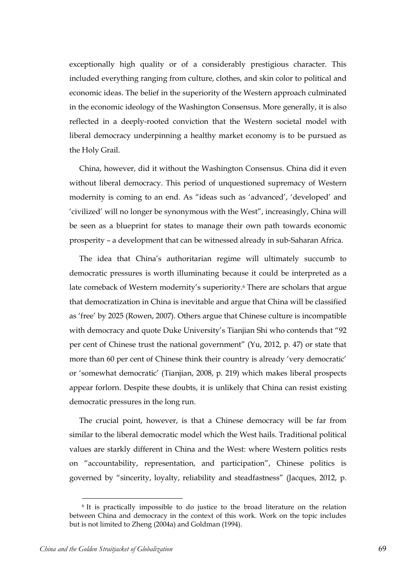exceptionally high quality or of a considerably prestigious character. This included everything ranging from culture, clothes, and skin color to political and economic ideas. The belief in the superiority of the Western approach culminated in the economic ideology of the Washington Consensus. More generally, it is also reflected in a deeply-rooted conviction that the Western societal model with liberal democracy underpinning a healthy market economy is to be pursued as the Holy Grail.

China, however, did it without the Washington Consensus. China did it even without liberal democracy. This period of unquestioned supremacy of Western modernity is coming to an end. As "ideas such as 'advanced', 'developed' and 'civilized' will no longer be synonymous with the West", increasingly, China will be seen as a blueprint for states to manage their own path towards economic prosperity – a development that can be witnessed already in sub-Saharan Africa.

The idea that China's authoritarian regime will ultimately succumb to democratic pressures is worth illuminating because it could be interpreted as a late comeback of Western modernity's superiority.<sup>6</sup> There are scholars that argue that democratization in China is inevitable and argue that China will be classified as 'free' by 2025 (Rowen, 2007). Others argue that Chinese culture is incompatible with democracy and quote Duke University's Tianjian Shi who contends that "92 per cent of Chinese trust the national government" (Yu, 2012, p. 47) or state that more than 60 per cent of Chinese think their country is already 'very democratic' or 'somewhat democratic' (Tianjian, 2008, p. 219) which makes liberal prospects appear forlorn. Despite these doubts, it is unlikely that China can resist existing democratic pressures in the long run.

The crucial point, however, is that a Chinese democracy will be far from similar to the liberal democratic model which the West hails. Traditional political values are starkly different in China and the West: where Western politics rests on "accountability, representation, and participation", Chinese politics is governed by "sincerity, loyalty, reliability and steadfastness" (Jacques, 2012, p.

 $\overline{a}$ 

<sup>6</sup> It is practically impossible to do justice to the broad literature on the relation between China and democracy in the context of this work. Work on the topic includes but is not limited to Zheng (2004a) and Goldman (1994).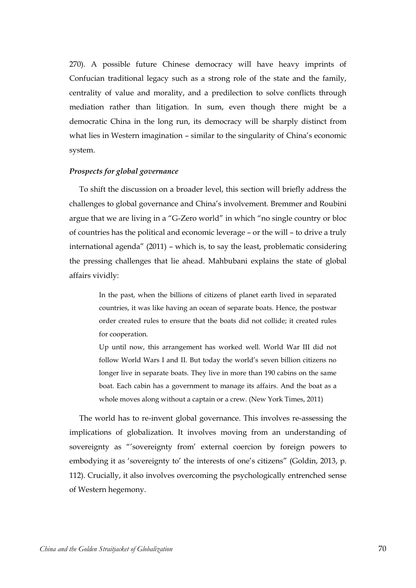270). A possible future Chinese democracy will have heavy imprints of Confucian traditional legacy such as a strong role of the state and the family, centrality of value and morality, and a predilection to solve conflicts through mediation rather than litigation. In sum, even though there might be a democratic China in the long run, its democracy will be sharply distinct from what lies in Western imagination – similar to the singularity of China's economic system.

## *Prospects for global governance*

To shift the discussion on a broader level, this section will briefly address the challenges to global governance and China's involvement. Bremmer and Roubini argue that we are living in a "G-Zero world" in which "no single country or bloc of countries has the political and economic leverage – or the will – to drive a truly international agenda" (2011) – which is, to say the least, problematic considering the pressing challenges that lie ahead. Mahbubani explains the state of global affairs vividly:

> In the past, when the billions of citizens of planet earth lived in separated countries, it was like having an ocean of separate boats. Hence, the postwar order created rules to ensure that the boats did not collide; it created rules for cooperation.

> Up until now, this arrangement has worked well. World War III did not follow World Wars I and II. But today the world's seven billion citizens no longer live in separate boats. They live in more than 190 cabins on the same boat. Each cabin has a government to manage its affairs. And the boat as a whole moves along without a captain or a crew. (New York Times, 2011)

The world has to re-invent global governance. This involves re-assessing the implications of globalization. It involves moving from an understanding of sovereignty as "'sovereignty from' external coercion by foreign powers to embodying it as 'sovereignty to' the interests of one's citizens" (Goldin, 2013, p. 112). Crucially, it also involves overcoming the psychologically entrenched sense of Western hegemony.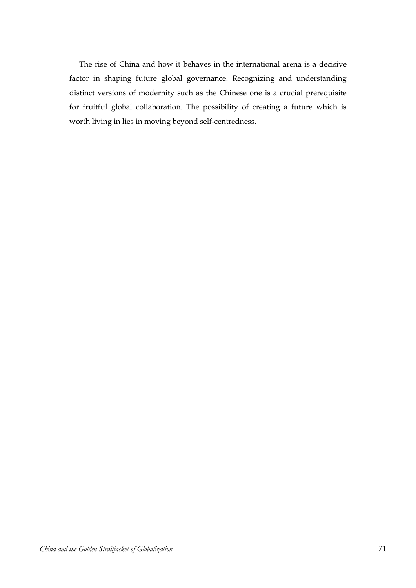The rise of China and how it behaves in the international arena is a decisive factor in shaping future global governance. Recognizing and understanding distinct versions of modernity such as the Chinese one is a crucial prerequisite for fruitful global collaboration. The possibility of creating a future which is worth living in lies in moving beyond self-centredness.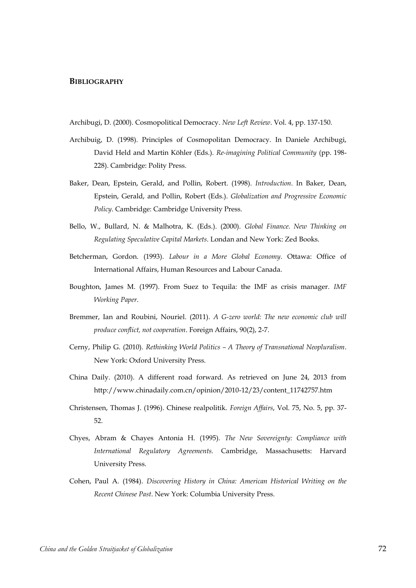#### **BIBLIOGRAPHY**

- Archibugi, D. (2000). Cosmopolitical Democracy. *New Left Review*. Vol. 4, pp. 137-150.
- Archibuig, D. (1998). Principles of Cosmopolitan Democracy. In Daniele Archibugi, David Held and Martin Köhler (Eds.). *Re-imagining Political Community* (pp. 198- 228). Cambridge: Polity Press.
- Baker, Dean, Epstein, Gerald, and Pollin, Robert. (1998). *Introduction*. In Baker, Dean, Epstein, Gerald, and Pollin, Robert (Eds.). *Globalization and Progressive Economic Policy*. Cambridge: Cambridge University Press.
- Bello, W., Bullard, N. & Malhotra, K. (Eds.). (2000). *Global Finance. New Thinking on Regulating Speculative Capital Markets*. Londan and New York: Zed Books.
- Betcherman, Gordon. (1993). *Labour in a More Global Economy*. Ottawa: Office of International Affairs, Human Resources and Labour Canada.
- Boughton, James M. (1997). From Suez to Tequila: the IMF as crisis manager. *IMF Working Paper*.
- Bremmer, Ian and Roubini, Nouriel. (2011). *A G-zero world: The new economic club will produce conflict, not cooperation*. Foreign Affairs, 90(2), 2-7.
- Cerny, Philip G. (2010). *Rethinking World Politics – A Theory of Transnational Neopluralism*. New York: Oxford University Press.
- China Daily. (2010). A different road forward. As retrieved on June 24, 2013 from http://www.chinadaily.com.cn/opinion/2010-12/23/content\_11742757.htm
- Christensen, Thomas J. (1996). Chinese realpolitik. *Foreign Affairs*, Vol. 75, No. 5, pp. 37- 52.
- Chyes, Abram & Chayes Antonia H. (1995). *The New Sovereignty: Compliance with International Regulatory Agreements.* Cambridge, Massachusetts: Harvard University Press.
- Cohen, Paul A. (1984). *Discovering History in China: American Historical Writing on the Recent Chinese Past*. New York: Columbia University Press.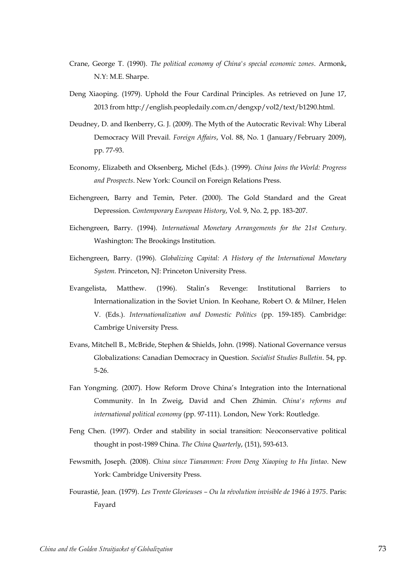- Crane, George T. (1990). *The political economy of China's special economic zones*. Armonk, N.Y: M.E. Sharpe.
- Deng Xiaoping. (1979). Uphold the Four Cardinal Principles. As retrieved on June 17, 2013 from http://english.peopledaily.com.cn/dengxp/vol2/text/b1290.html.
- Deudney, D. and Ikenberry, G. J. (2009). The Myth of the Autocratic Revival: Why Liberal Democracy Will Prevail. *Foreign Affairs*, Vol. 88, No. 1 (January/February 2009), pp. 77-93.
- Economy, Elizabeth and Oksenberg, Michel (Eds.). (1999). *China Joins the World: Progress and Prospects*. New York: Council on Foreign Relations Press.
- Eichengreen, Barry and Temin, Peter. (2000). The Gold Standard and the Great Depression. *Contemporary European History*, Vol. 9, No. 2, pp. 183-207.
- Eichengreen, Barry. (1994). *International Monetary Arrangements for the 21st Century*. Washington: The Brookings Institution.
- Eichengreen, Barry. (1996). *Globalizing Capital: A History of the International Monetary System.* Princeton, NJ: Princeton University Press.
- Evangelista, Matthew. (1996). Stalin's Revenge: Institutional Barriers to Internationalization in the Soviet Union. In Keohane, Robert O. & Milner, Helen V. (Eds.). *Internationalization and Domestic Politics* (pp. 159-185). Cambridge: Cambrige University Press.
- Evans, Mitchell B., McBride, Stephen & Shields, John. (1998). National Governance versus Globalizations: Canadian Democracy in Question. *Socialist Studies Bulletin*. 54, pp. 5-26.
- Fan Yongming. (2007). How Reform Drove China's Integration into the International Community. In In Zweig, David and Chen Zhimin. *China's reforms and international political economy* (pp. 97-111). London, New York: Routledge.
- Feng Chen. (1997). Order and stability in social transition: Neoconservative political thought in post-1989 China. *The China Quarterly*, (151), 593-613.
- Fewsmith, Joseph. (2008). *China since Tiananmen: From Deng Xiaoping to Hu Jintao*. New York: Cambridge University Press.
- Fourastié, Jean. (1979). *Les Trente Glorieuses – Ou la révolution invisible de 1946 à 1975*. Paris: Fayard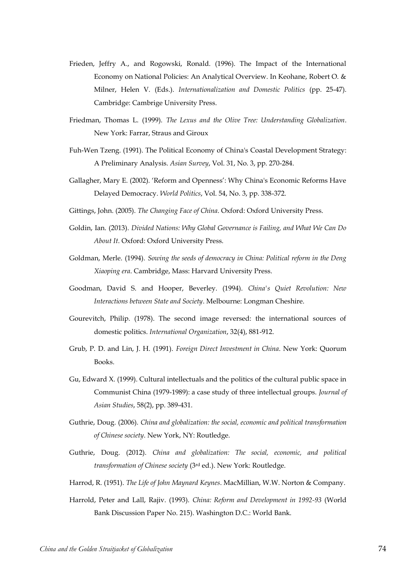- Frieden, Jeffry A., and Rogowski, Ronald. (1996). The Impact of the International Economy on National Policies: An Analytical Overview. In Keohane, Robert O. & Milner, Helen V. (Eds.). *Internationalization and Domestic Politics* (pp. 25-47). Cambridge: Cambrige University Press.
- Friedman, Thomas L. (1999). *The Lexus and the Olive Tree: Understanding Globalization*. New York: Farrar, Straus and Giroux
- Fuh-Wen Tzeng. (1991). The Political Economy of China's Coastal Development Strategy: A Preliminary Analysis. *Asian Survey*, Vol. 31, No. 3, pp. 270-284.
- Gallagher, Mary E. (2002). 'Reform and Openness': Why China's Economic Reforms Have Delayed Democracy. *World Politics*, Vol. 54, No. 3, pp. 338-372.
- Gittings, John. (2005). *The Changing Face of China*. Oxford: Oxford University Press.
- Goldin, Ian. (2013). *Divided Nations: Why Global Governance is Failing, and What We Can Do About It*. Oxford: Oxford University Press.
- Goldman, Merle. (1994). *Sowing the seeds of democracy in China: Political reform in the Deng Xiaoping era*. Cambridge, Mass: Harvard University Press.
- Goodman, David S. and Hooper, Beverley. (1994). *China's Quiet Revolution: New Interactions between State and Society*. Melbourne: Longman Cheshire.
- Gourevitch, Philip. (1978). The second image reversed: the international sources of domestic politics. *International Organization*, 32(4), 881-912.
- Grub, P. D. and Lin, J. H. (1991). *Foreign Direct Investment in China*. New York: Quorum Books.
- Gu, Edward X. (1999). Cultural intellectuals and the politics of the cultural public space in Communist China (1979-1989): a case study of three intellectual groups. *Journal of Asian Studies*, 58(2), pp. 389-431.
- Guthrie, Doug. (2006). *China and globalization: the social, economic and political transformation of Chinese society*. New York, NY: Routledge.
- Guthrie, Doug. (2012). *China and globalization: The social, economic, and political transformation of Chinese society* (3rd ed.). New York: Routledge.
- Harrod, R. (1951). *The Life of John Maynard Keynes*. MacMillian, W.W. Norton & Company.
- Harrold, Peter and Lall, Rajiv. (1993). *China: Reform and Development in 1992-93* (World Bank Discussion Paper No. 215). Washington D.C.: World Bank.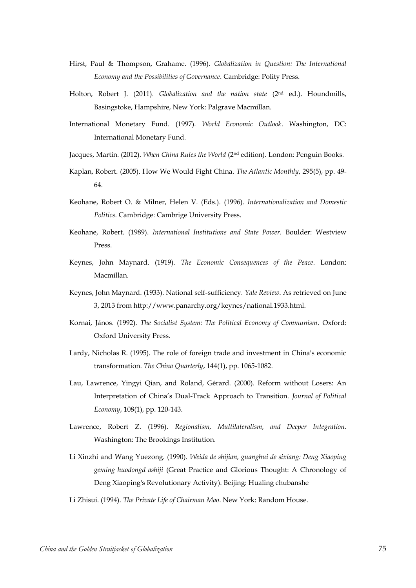- Hirst, Paul & Thompson, Grahame. (1996). *Globalization in Question: The International Economy and the Possibilities of Governance*. Cambridge: Polity Press.
- Holton, Robert J. (2011). *Globalization and the nation state* (2nd ed.). Houndmills, Basingstoke, Hampshire, New York: Palgrave Macmillan.
- International Monetary Fund. (1997). *World Economic Outlook*. Washington, DC: International Monetary Fund.
- Jacques, Martin. (2012). *When China Rules the World* (2nd edition). London: Penguin Books.
- Kaplan, Robert. (2005). How We Would Fight China. *The Atlantic Monthly*, 295(5), pp. 49- 64.
- Keohane, Robert O. & Milner, Helen V. (Eds.). (1996). *Internationalization and Domestic Politics*. Cambridge: Cambrige University Press.
- Keohane, Robert. (1989). *International Institutions and State Power*. Boulder: Westview Press.
- Keynes, John Maynard. (1919). *The Economic Consequences of the Peace*. London: Macmillan.
- Keynes, John Maynard. (1933). National self-sufficiency. *Yale Review*. As retrieved on June 3, 2013 from http://www.panarchy.org/keynes/national.1933.html.
- Kornai, János. (1992). *The Socialist System: The Political Economy of Communism*. Oxford: Oxford University Press.
- Lardy, Nicholas R. (1995). The role of foreign trade and investment in China's economic transformation. *The China Quarterly*, 144(1), pp. 1065-1082.
- Lau, Lawrence, Yingyi Qian, and Roland, Gérard. (2000). Reform without Losers: An Interpretation of China's Dual-Track Approach to Transition. *Journal of Political Economy*, 108(1), pp. 120-143.
- Lawrence, Robert Z. (1996). *Regionalism, Multilateralism, and Deeper Integration*. Washington: The Brookings Institution.
- Li Xinzhi and Wang Yuezong. (1990). *Weida de shijian, guanghui de sixiang: Deng Xiaoping geming huodongd ashiji* (Great Practice and Glorious Thought: A Chronology of Deng Xiaoping's Revolutionary Activity). Beijing: Hualing chubanshe

Li Zhisui. (1994). *The Private Life of Chairman Mao*. New York: Random House.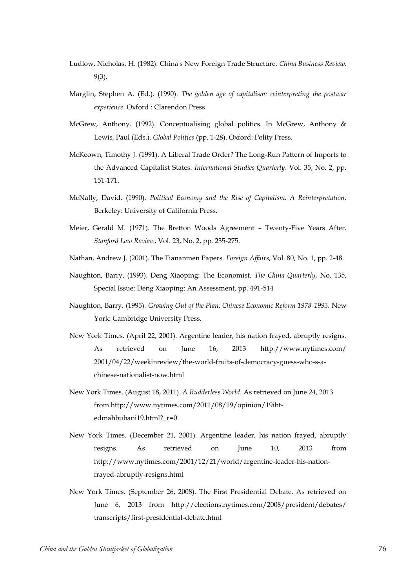- Ludlow, Nicholas. H. (1982). China's New Foreign Trade Structure. *China Business Review*. 9(3).
- Marglin, Stephen A. (Ed.). (1990). *The golden age of capitalism: reinterpreting the postwar experience*. Oxford : Clarendon Press
- McGrew, Anthony. (1992). Conceptualising global politics. In McGrew, Anthony & Lewis, Paul (Eds.). *Global Politics* (pp. 1-28). Oxford: Polity Press.
- McKeown, Timothy J. (1991). A Liberal Trade Order? The Long-Run Pattern of Imports to the Advanced Capitalist States. *International Studies Quarterly*. Vol. 35, No. 2, pp. 151-171.
- McNally, David. (1990). *Political Economy and the Rise of Capitalism: A Reinterpretation*. Berkeley: University of California Press.
- Meier, Gerald M. (1971). The Bretton Woods Agreement Twenty-Five Years After. *Stanford Law Review*, Vol. 23, No. 2, pp. 235-275.
- Nathan, Andrew J. (2001). The Tiananmen Papers. *Foreign Affairs*, Vol. 80, No. 1, pp. 2-48.
- Naughton, Barry. (1993). Deng Xiaoping: The Economist. *The China Quarterly*, No. 135, Special Issue: Deng Xiaoping: An Assessment, pp. 491-514
- Naughton, Barry. (1995). *Growing Out of the Plan: Chinese Economic Reform 1978-1993*. New York: Cambridge University Press.
- New York Times. (April 22, 2001). Argentine leader, his nation frayed, abruptly resigns. As retrieved on June 16, 2013 http://www.nytimes.com/ 2001/04/22/weekinreview/the-world-fruits-of-democracy-guess-who-s-achinese-nationalist-now.html
- New York Times. (August 18, 2011). *A Rudderless World*. As retrieved on June 24, 2013 from http://www.nytimes.com/2011/08/19/opinion/19ihtedmahbubani19.html? r=0
- New York Times. (December 21, 2001). Argentine leader, his nation frayed, abruptly resigns. As retrieved on June 10, 2013 from http://www.nytimes.com/2001/12/21/world/argentine-leader-his-nationfrayed-abruptly-resigns.html
- New York Times. (September 26, 2008). The First Presidential Debate. As retrieved on June 6, 2013 from http://elections.nytimes.com/2008/president/debates/ transcripts/first-presidential-debate.html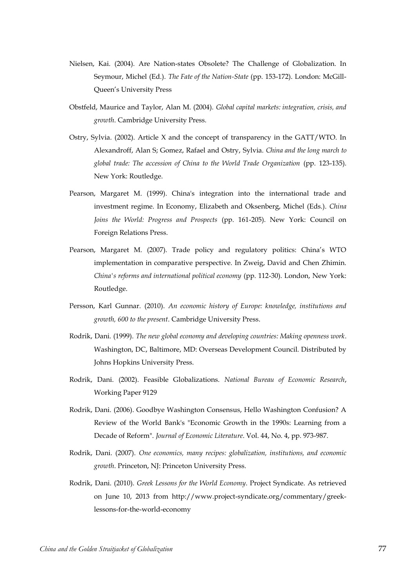- Nielsen, Kai. (2004). Are Nation-states Obsolete? The Challenge of Globalization. In Seymour, Michel (Ed.). *The Fate of the Nation-State* (pp. 153-172). London: McGill-Queen's University Press
- Obstfeld, Maurice and Taylor, Alan M. (2004). *Global capital markets: integration, crisis, and growth*. Cambridge University Press.
- Ostry, Sylvia. (2002). Article X and the concept of transparency in the GATT/WTO. In Alexandroff, Alan S; Gomez, Rafael and Ostry, Sylvia. *China and the long march to global trade: The accession of China to the World Trade Organization* (pp. 123-135). New York: Routledge.
- Pearson, Margaret M. (1999). China's integration into the international trade and investment regime. In Economy, Elizabeth and Oksenberg, Michel (Eds.). *China Joins the World: Progress and Prospects* (pp. 161-205). New York: Council on Foreign Relations Press.
- Pearson, Margaret M. (2007). Trade policy and regulatory politics: China's WTO implementation in comparative perspective. In Zweig, David and Chen Zhimin. *China's reforms and international political economy* (pp. 112-30). London, New York: Routledge.
- Persson, Karl Gunnar. (2010). *An economic history of Europe: knowledge, institutions and growth, 600 to the present*. Cambridge University Press.
- Rodrik, Dani. (1999). *The new global economy and developing countries: Making openness work*. Washington, DC, Baltimore, MD: Overseas Development Council. Distributed by Johns Hopkins University Press.
- Rodrik, Dani. (2002). Feasible Globalizations. *National Bureau of Economic Research*, Working Paper 9129
- Rodrik, Dani. (2006). Goodbye Washington Consensus, Hello Washington Confusion? A Review of the World Bank's "Economic Growth in the 1990s: Learning from a Decade of Reform". *Journal of Economic Literature*. Vol. 44, No. 4, pp. 973-987.
- Rodrik, Dani. (2007). *One economics, many recipes: globalization, institutions, and economic growth*. Princeton, NJ: Princeton University Press.
- Rodrik, Dani. (2010). *Greek Lessons for the World Economy*. Project Syndicate. As retrieved on June 10, 2013 from http://www.project-syndicate.org/commentary/greeklessons-for-the-world-economy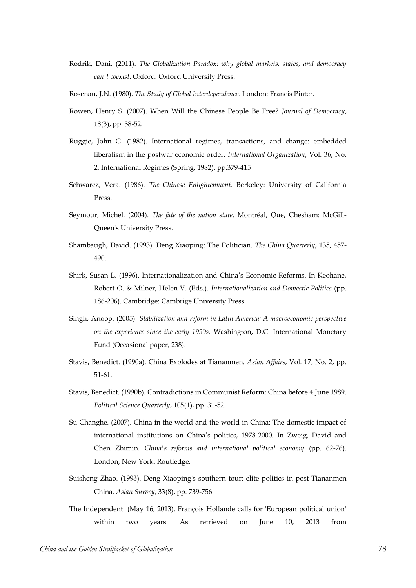- Rodrik, Dani. (2011). *The Globalization Paradox: why global markets, states, and democracy can't coexist*. Oxford: Oxford University Press.
- Rosenau, J.N. (1980). *The Study of Global Interdependence*. London: Francis Pinter.
- Rowen, Henry S. (2007). When Will the Chinese People Be Free? *Journal of Democracy*, 18(3), pp. 38-52.
- Ruggie, John G. (1982). International regimes, transactions, and change: embedded liberalism in the postwar economic order. *International Organization*, Vol. 36, No. 2, International Regimes (Spring, 1982), pp.379-415
- Schwarcz, Vera. (1986). *The Chinese Enlightenment*. Berkeley: University of California Press.
- Seymour, Michel. (2004). *The fate of the nation state*. Montréal, Que, Chesham: McGill-Queen's University Press.
- Shambaugh, David. (1993). Deng Xiaoping: The Politician. *The China Quarterly*, 135, 457- 490.
- Shirk, Susan L. (1996). Internationalization and China's Economic Reforms. In Keohane, Robert O. & Milner, Helen V. (Eds.). *Internationalization and Domestic Politics* (pp. 186-206). Cambridge: Cambrige University Press.
- Singh, Anoop. (2005). *Stabilization and reform in Latin America: A macroeconomic perspective on the experience since the early 1990s*. Washington, D.C: International Monetary Fund (Occasional paper, 238).
- Stavis, Benedict. (1990a). China Explodes at Tiananmen. *Asian Affairs*, Vol. 17, No. 2, pp. 51-61.
- Stavis, Benedict. (1990b). Contradictions in Communist Reform: China before 4 June 1989. *Political Science Quarterly*, 105(1), pp. 31-52.
- Su Changhe. (2007). China in the world and the world in China: The domestic impact of international institutions on China's politics, 1978-2000. In Zweig, David and Chen Zhimin. *China's reforms and international political economy* (pp. 62-76). London, New York: Routledge.
- Suisheng Zhao. (1993). Deng Xiaoping's southern tour: elite politics in post-Tiananmen China. *Asian Survey*, 33(8), pp. 739-756.
- The Independent. (May 16, 2013). François Hollande calls for 'European political union' within two years. As retrieved on June 10, 2013 from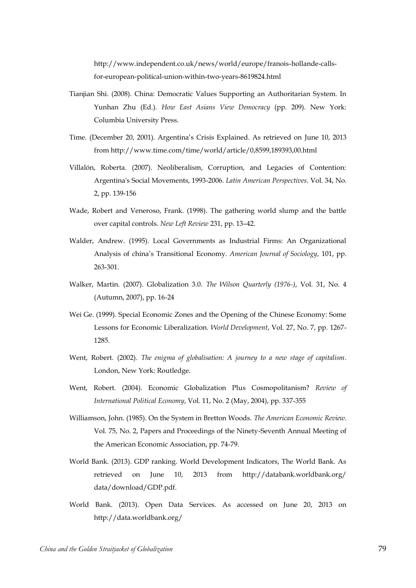http://www.independent.co.uk/news/world/europe/franois-hollande-callsfor-european-political-union-within-two-years-8619824.html

- Tianjian Shi. (2008). China: Democratic Values Supporting an Authoritarian System. In Yunhan Zhu (Ed.). *How East Asians View Democracy* (pp. 209). New York: Columbia University Press.
- Time. (December 20, 2001). Argentina's Crisis Explained. As retrieved on June 10, 2013 from http://www.time.com/time/world/article/0,8599,189393,00.html
- Villalón, Roberta. (2007). Neoliberalism, Corruption, and Legacies of Contention: Argentina's Social Movements, 1993-2006. *Latin American Perspectives*. Vol. 34, No. 2, pp. 139-156
- Wade, Robert and Veneroso, Frank. (1998). The gathering world slump and the battle over capital controls. *New Left Review* 231, pp. 13–42.
- Walder, Andrew. (1995). Local Governments as Industrial Firms: An Organizational Analysis of china's Transitional Economy. *American Journal of Sociology*, 101, pp. 263-301.
- Walker, Martin. (2007). Globalization 3.0. *The Wilson Quarterly (1976-)*, Vol. 31, No. 4 (Autumn, 2007), pp. 16-24
- Wei Ge. (1999). Special Economic Zones and the Opening of the Chinese Economy: Some Lessons for Economic Liberalization. *World Development*, Vol. 27, No. 7, pp. 1267- 1285.
- Went, Robert. (2002). *The enigma of globalisation: A journey to a new stage of capitalism*. London, New York: Routledge.
- Went, Robert. (2004). Economic Globalization Plus Cosmopolitanism? *Review of International Political Economy*, Vol. 11, No. 2 (May, 2004), pp. 337-355
- Williamson, John. (1985). On the System in Bretton Woods. *The American Economic Review*. Vol. 75, No. 2, Papers and Proceedings of the Ninety-Seventh Annual Meeting of the American Economic Association, pp. 74-79.
- World Bank. (2013). GDP ranking. World Development Indicators, The World Bank. As retrieved on June 10, 2013 from http://databank.worldbank.org/ data/download/GDP.pdf.
- World Bank. (2013). Open Data Services. As accessed on June 20, 2013 on http://data.worldbank.org/